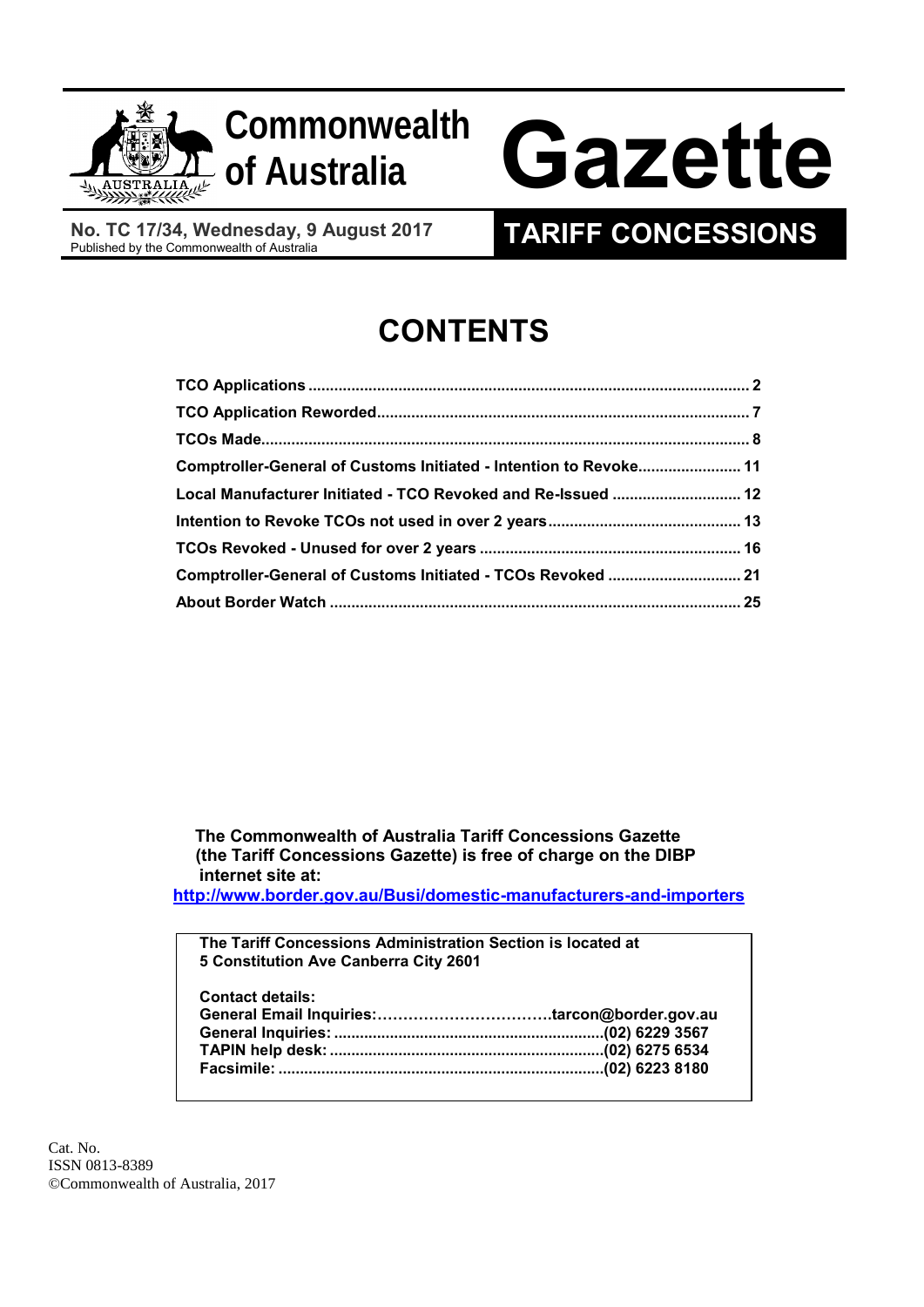



# Gazette

**No. TC 17/34, Wednesday, 9 August 2017**

## **TARIFF CONCESSIONS**

## **CONTENTS**

| Comptroller-General of Customs Initiated - Intention to Revoke 11 |  |
|-------------------------------------------------------------------|--|
| Local Manufacturer Initiated - TCO Revoked and Re-Issued  12      |  |
|                                                                   |  |
|                                                                   |  |
| Comptroller-General of Customs Initiated - TCOs Revoked  21       |  |
|                                                                   |  |

 **The Commonwealth of Australia Tariff Concessions Gazette (the Tariff Concessions Gazette) is free of charge on the DIBP internet site at:**

**<http://www.border.gov.au/Busi/domestic-manufacturers-and-importers>**

| The Tariff Concessions Administration Section is located at |  |
|-------------------------------------------------------------|--|
| 5 Constitution Ave Canberra City 2601                       |  |
|                                                             |  |
| <b>Contact details:</b>                                     |  |
|                                                             |  |
|                                                             |  |
|                                                             |  |
|                                                             |  |
|                                                             |  |

Cat. No. ISSN 0813-8389 ©Commonwealth of Australia, 2017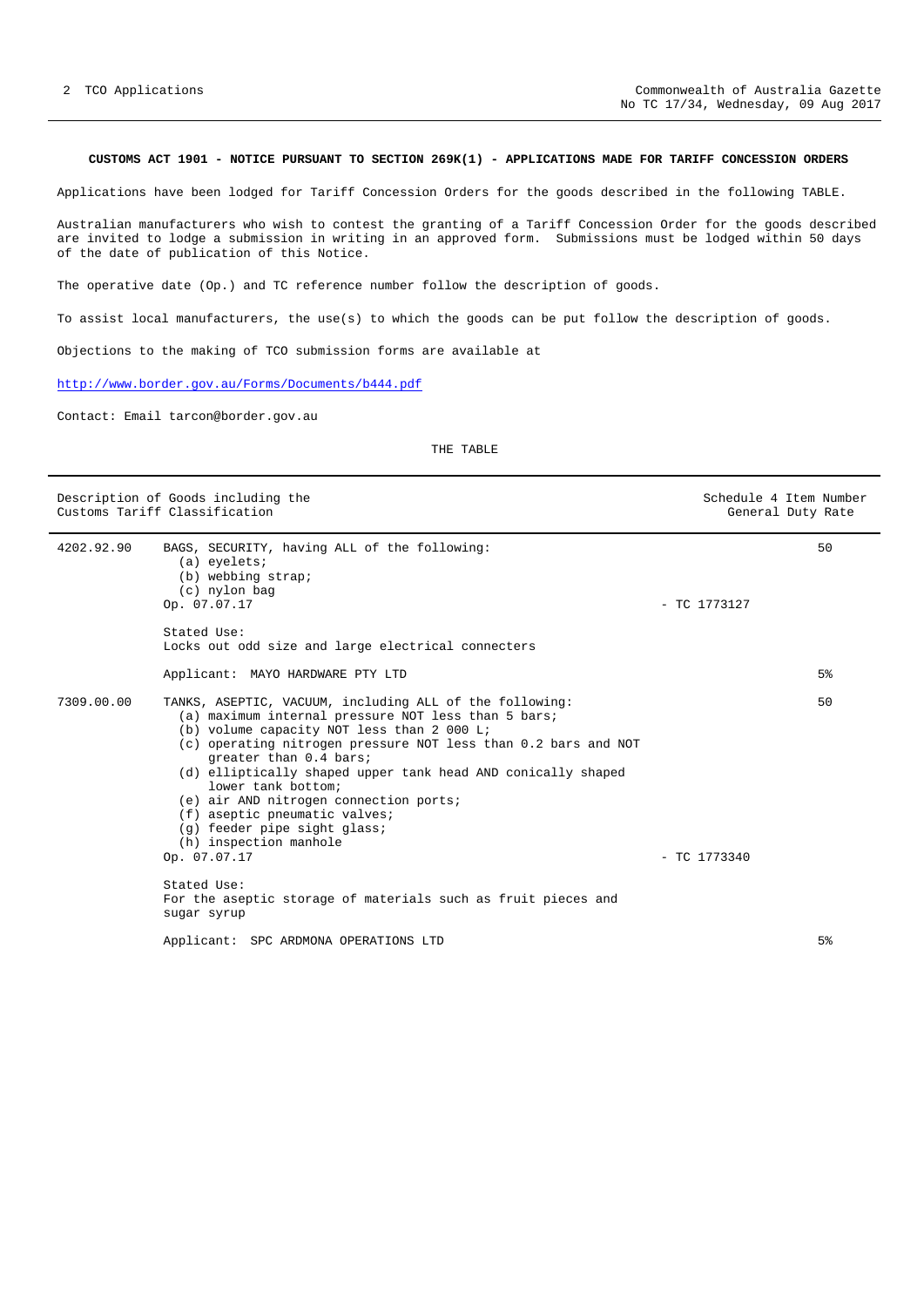### <span id="page-1-0"></span>**CUSTOMS ACT 1901 - NOTICE PURSUANT TO SECTION 269K(1) - APPLICATIONS MADE FOR TARIFF CONCESSION ORDERS**

Applications have been lodged for Tariff Concession Orders for the goods described in the following TABLE.

Australian manufacturers who wish to contest the granting of a Tariff Concession Order for the goods described are invited to lodge a submission in writing in an approved form. Submissions must be lodged within 50 days of the date of publication of this Notice.

The operative date (Op.) and TC reference number follow the description of goods.

To assist local manufacturers, the use(s) to which the goods can be put follow the description of goods.

Objections to the making of TCO submission forms are available at

<http://www.border.gov.au/Forms/Documents/b444.pdf>

Contact: Email tarcon@border.gov.au

|            | Description of Goods including the<br>Customs Tariff Classification                                                                                                                                                                                                                                                                                                                                                                                                                                                |                | Schedule 4 Item Number<br>General Duty Rate |
|------------|--------------------------------------------------------------------------------------------------------------------------------------------------------------------------------------------------------------------------------------------------------------------------------------------------------------------------------------------------------------------------------------------------------------------------------------------------------------------------------------------------------------------|----------------|---------------------------------------------|
| 4202.92.90 | BAGS, SECURITY, having ALL of the following:<br>$(a)$ eyelets;<br>(b) webbing strap;<br>(c) nylon bag<br>Op. 07.07.17                                                                                                                                                                                                                                                                                                                                                                                              | $-$ TC 1773127 | 50                                          |
|            | Stated Use:<br>Locks out odd size and large electrical connecters                                                                                                                                                                                                                                                                                                                                                                                                                                                  |                |                                             |
|            | Applicant: MAYO HARDWARE PTY LTD                                                                                                                                                                                                                                                                                                                                                                                                                                                                                   |                | 5 <sup>8</sup>                              |
| 7309.00.00 | TANKS, ASEPTIC, VACUUM, including ALL of the following:<br>(a) maximum internal pressure NOT less than 5 bars;<br>(b) volume capacity NOT less than 2 000 L;<br>(c) operating nitrogen pressure NOT less than 0.2 bars and NOT<br>greater than 0.4 bars;<br>(d) elliptically shaped upper tank head AND conically shaped<br>lower tank bottom;<br>(e) air AND nitrogen connection ports;<br>(f) aseptic pneumatic valves;<br>(g) feeder pipe sight glass;<br>(h) inspection manhole<br>Op. 07.07.17<br>Stated Use: | $-$ TC 1773340 | 50                                          |
|            | For the aseptic storage of materials such as fruit pieces and<br>sugar syrup                                                                                                                                                                                                                                                                                                                                                                                                                                       |                |                                             |
|            | Applicant: SPC ARDMONA OPERATIONS LTD                                                                                                                                                                                                                                                                                                                                                                                                                                                                              |                | 5 <sup>8</sup>                              |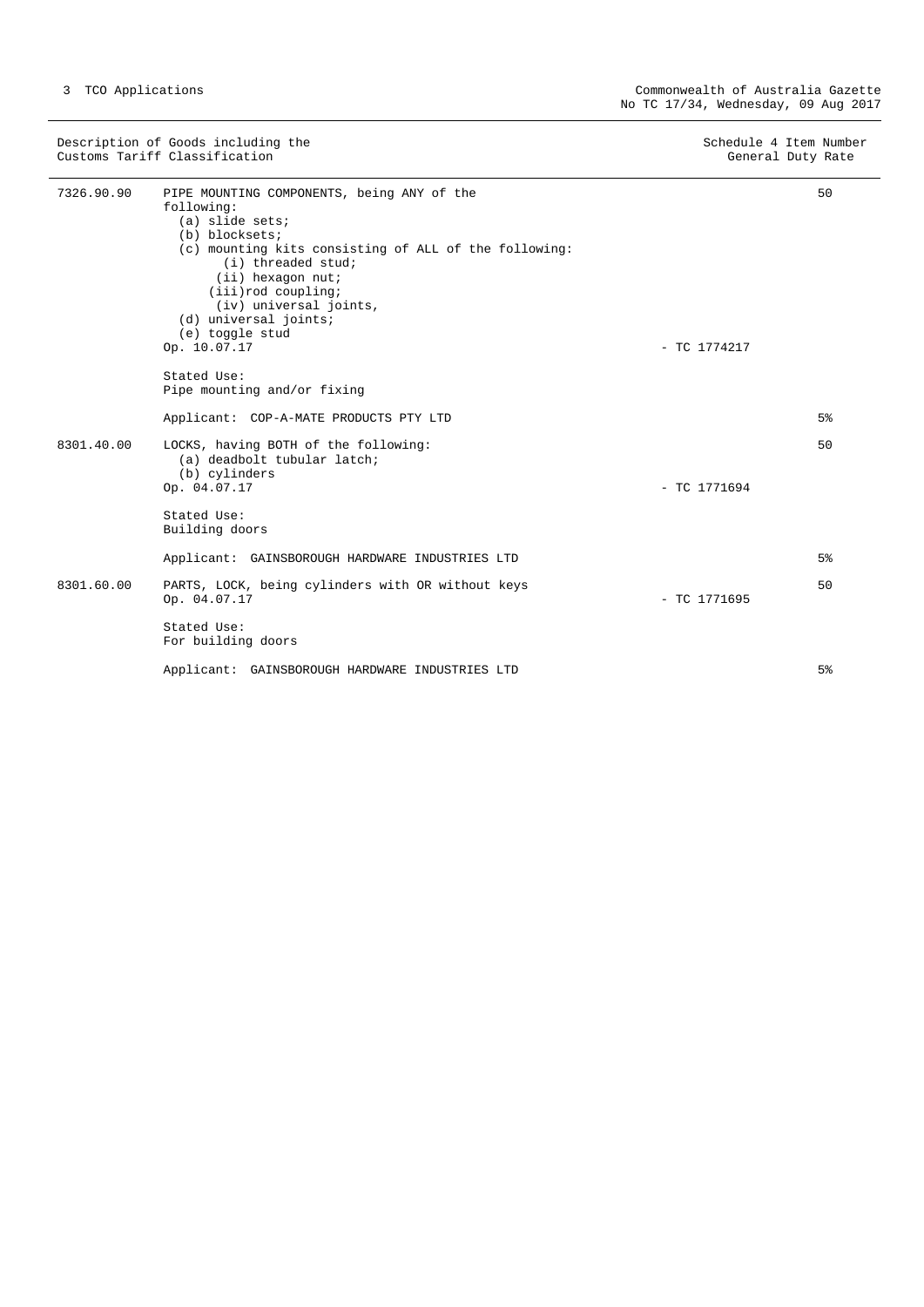| Description of Goods including the<br>Customs Tariff Classification |                                                                                                                                                                                                                                                                                                                                   | Schedule 4 Item Number<br>General Duty Rate |                |
|---------------------------------------------------------------------|-----------------------------------------------------------------------------------------------------------------------------------------------------------------------------------------------------------------------------------------------------------------------------------------------------------------------------------|---------------------------------------------|----------------|
| 7326.90.90                                                          | PIPE MOUNTING COMPONENTS, being ANY of the<br>following:<br>$(a)$ slide sets;<br>(b) blocksets;<br>(c) mounting kits consisting of ALL of the following:<br>(i) threaded stud;<br>(ii) hexagon nut;<br>$(iii)$ rod coupling;<br>(iv) universal joints,<br>(d) universal joints;<br>(e) toggle stud<br>Op. 10.07.17<br>Stated Use: | $-$ TC 1774217                              | 50             |
|                                                                     | Pipe mounting and/or fixing                                                                                                                                                                                                                                                                                                       |                                             |                |
|                                                                     | Applicant: COP-A-MATE PRODUCTS PTY LTD                                                                                                                                                                                                                                                                                            |                                             | 5 <sup>°</sup> |
| 8301.40.00                                                          | LOCKS, having BOTH of the following:<br>(a) deadbolt tubular latch;<br>(b) cylinders<br>Op. 04.07.17                                                                                                                                                                                                                              | $-$ TC 1771694                              | 50             |
|                                                                     | Stated Use:<br>Building doors                                                                                                                                                                                                                                                                                                     |                                             |                |
|                                                                     | Applicant: GAINSBOROUGH HARDWARE INDUSTRIES LTD                                                                                                                                                                                                                                                                                   |                                             | 5 <sup>°</sup> |
| 8301.60.00                                                          | PARTS, LOCK, being cylinders with OR without keys<br>Op. 04.07.17                                                                                                                                                                                                                                                                 | $-$ TC 1771695                              | 50             |
|                                                                     | Stated Use:<br>For building doors                                                                                                                                                                                                                                                                                                 |                                             |                |
|                                                                     | Applicant: GAINSBOROUGH HARDWARE INDUSTRIES LTD                                                                                                                                                                                                                                                                                   |                                             | 5%             |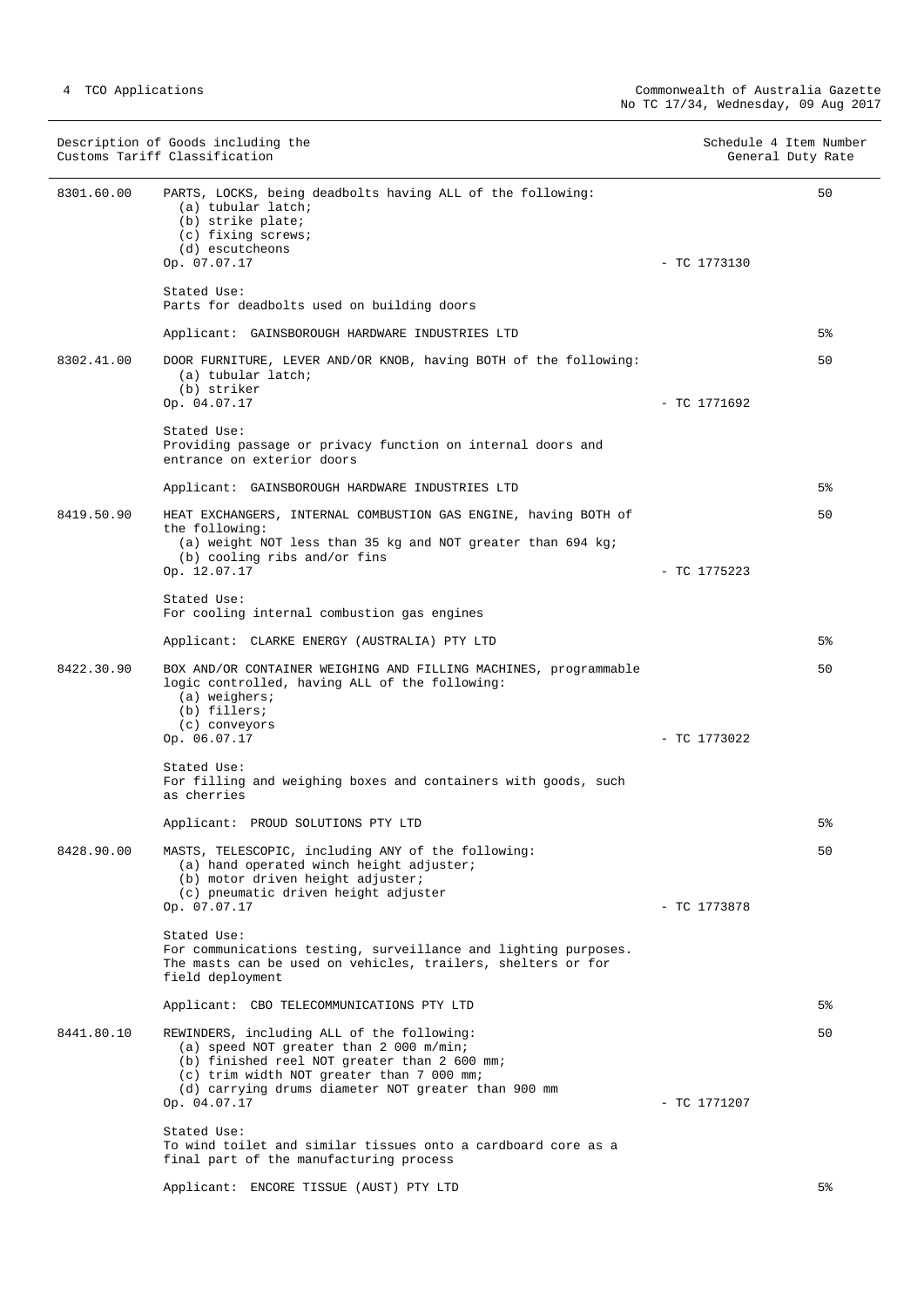|            | Description of Goods including the<br>Customs Tariff Classification                                                                                                                                                                                       | Schedule 4 Item Number<br>General Duty Rate |
|------------|-----------------------------------------------------------------------------------------------------------------------------------------------------------------------------------------------------------------------------------------------------------|---------------------------------------------|
| 8301.60.00 | PARTS, LOCKS, being deadbolts having ALL of the following:<br>(a) tubular latch;<br>(b) strike plate;<br>(c) fixing screws;<br>(d) escutcheons<br>Op. 07.07.17                                                                                            | 50<br>$-$ TC 1773130                        |
|            | Stated Use:<br>Parts for deadbolts used on building doors                                                                                                                                                                                                 |                                             |
|            | Applicant: GAINSBOROUGH HARDWARE INDUSTRIES LTD                                                                                                                                                                                                           | 5%                                          |
| 8302.41.00 | DOOR FURNITURE, LEVER AND/OR KNOB, having BOTH of the following:<br>(a) tubular latch;<br>(b) striker<br>Op. 04.07.17                                                                                                                                     | 50<br>$-$ TC 1771692                        |
|            | Stated Use:<br>Providing passage or privacy function on internal doors and<br>entrance on exterior doors                                                                                                                                                  |                                             |
|            | Applicant: GAINSBOROUGH HARDWARE INDUSTRIES LTD                                                                                                                                                                                                           | 5%                                          |
| 8419.50.90 | HEAT EXCHANGERS, INTERNAL COMBUSTION GAS ENGINE, having BOTH of<br>the following:<br>(a) weight NOT less than 35 kg and NOT greater than 694 kg;                                                                                                          | 50                                          |
|            | (b) cooling ribs and/or fins<br>Op. 12.07.17                                                                                                                                                                                                              | $-$ TC 1775223                              |
|            | Stated Use:<br>For cooling internal combustion gas engines                                                                                                                                                                                                |                                             |
|            | Applicant: CLARKE ENERGY (AUSTRALIA) PTY LTD                                                                                                                                                                                                              | 5%                                          |
| 8422.30.90 | BOX AND/OR CONTAINER WEIGHING AND FILLING MACHINES, programmable<br>logic controlled, having ALL of the following:<br>$(a)$ weighers;<br>(b) fillers;<br>(c) conveyors                                                                                    | 50                                          |
|            | Op. 06.07.17                                                                                                                                                                                                                                              | $-$ TC 1773022                              |
|            | Stated Use:<br>For filling and weighing boxes and containers with goods, such<br>as cherries                                                                                                                                                              |                                             |
|            | Applicant: PROUD SOLUTIONS PTY LTD                                                                                                                                                                                                                        | $5\%$                                       |
| 8428.90.00 | MASTS, TELESCOPIC, including ANY of the following:<br>(a) hand operated winch height adjuster;<br>(b) motor driven height adjuster;<br>(c) pneumatic driven height adjuster                                                                               | 50                                          |
|            | Op. 07.07.17<br>Stated Use:<br>For communications testing, surveillance and lighting purposes.<br>The masts can be used on vehicles, trailers, shelters or for<br>field deployment                                                                        | - TC 1773878                                |
|            | Applicant: CBO TELECOMMUNICATIONS PTY LTD                                                                                                                                                                                                                 | 5%                                          |
| 8441.80.10 | REWINDERS, including ALL of the following:<br>(a) speed NOT greater than 2 000 m/min;<br>(b) finished reel NOT greater than 2 600 mm;<br>(c) trim width NOT greater than 7 000 mm;<br>(d) carrying drums diameter NOT greater than 900 mm<br>Op. 04.07.17 | 50<br>$-$ TC 1771207                        |
|            | Stated Use:<br>To wind toilet and similar tissues onto a cardboard core as a<br>final part of the manufacturing process                                                                                                                                   |                                             |
|            | Applicant: ENCORE TISSUE (AUST) PTY LTD                                                                                                                                                                                                                   | 5%                                          |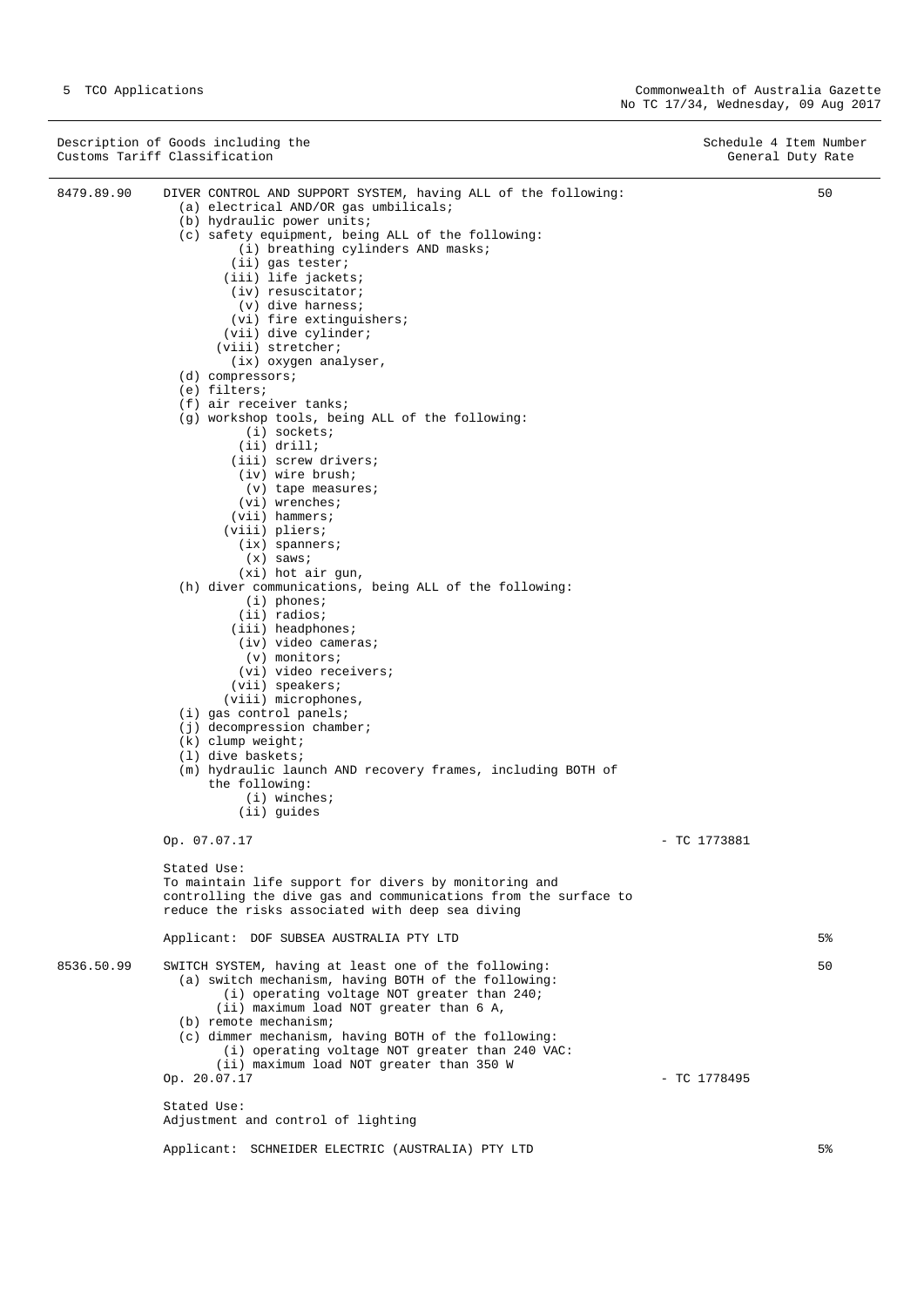Description of Goods including the Schedule 4 Item Number<br>
Customs Tariff Classification (Seneral Duty Rate) Customs Tariff Classification 8479.89.90 DIVER CONTROL AND SUPPORT SYSTEM, having ALL of the following: (a) electrical AND/OR gas umbilicals; (b) hydraulic power units; (c) safety equipment, being ALL of the following: (i) breathing cylinders AND masks; (ii) gas tester; (iii) life jackets; (iv) resuscitator;  $(v)$  dive harness; (vi) fire extinguishers; (vii) dive cylinder; (viii) stretcher; (ix) oxygen analyser, (d) compressors; (e) filters; (f) air receiver tanks; (g) workshop tools, being ALL of the following: (i) sockets; (ii) drill; (iii) screw drivers; (iv) wire brush; (v) tape measures; (vi) wrenches; (vii) hammers; (viii) pliers; (ix) spanners;  $(x)$  saws; (xi) hot air gun, (h) diver communications, being ALL of the following: (i) phones; (ii) radios; (iii) headphones; (iv) video cameras; (v) monitors; (vi) video receivers; (vii) speakers; (viii) microphones, (i) gas control panels; (j) decompression chamber; (k) clump weight; (l) dive baskets; (m) hydraulic launch AND recovery frames, including BOTH of the following: (i) winches; (ii) guides Op. 07.07.17 - TC 1773881 Stated Use: To maintain life support for divers by monitoring and controlling the dive gas and communications from the surface to reduce the risks associated with deep sea diving Applicant: DOF SUBSEA AUSTRALIA PTY LTD 50 5% 8536.50.99 SWITCH SYSTEM, having at least one of the following: (a) switch mechanism, having BOTH of the following: (i) operating voltage NOT greater than 240; (ii) maximum load NOT greater than 6 A, (b) remote mechanism; (c) dimmer mechanism, having BOTH of the following: (i) operating voltage NOT greater than 240 VAC: (ii) maximum load NOT greater than 350 W Op. 20.07.17 - TC 1778495 Stated Use: Adjustment and control of lighting Applicant: SCHNEIDER ELECTRIC (AUSTRALIA) PTY LTD 50 5%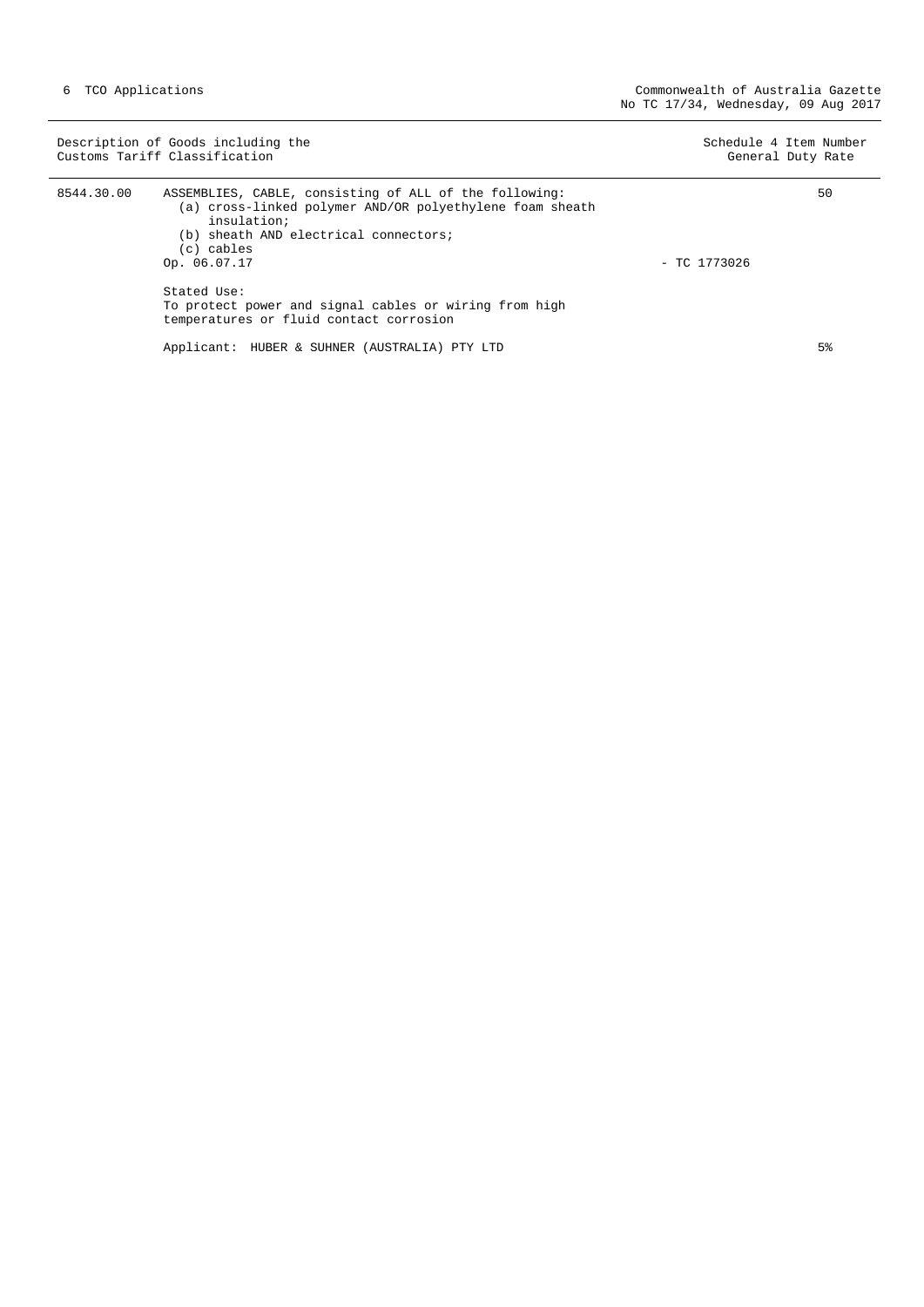| Description of Goods including the<br>Customs Tariff Classification |                                                                                                                                                                                                                                                                                                                              | Schedule 4 Item Number<br>General Duty Rate |
|---------------------------------------------------------------------|------------------------------------------------------------------------------------------------------------------------------------------------------------------------------------------------------------------------------------------------------------------------------------------------------------------------------|---------------------------------------------|
| 8544.30.00                                                          | ASSEMBLIES, CABLE, consisting of ALL of the following:<br>(a) cross-linked polymer AND/OR polyethylene foam sheath<br>insulation;<br>(b) sheath AND electrical connectors;<br>(c) cables<br>Op. 06.07.17<br>Stated Use:<br>To protect power and signal cables or wiring from high<br>temperatures or fluid contact corrosion | 50<br>$-$ TC 1773026                        |
|                                                                     | Applicant: HUBER & SUHNER (AUSTRALIA) PTY LTD                                                                                                                                                                                                                                                                                | 5%                                          |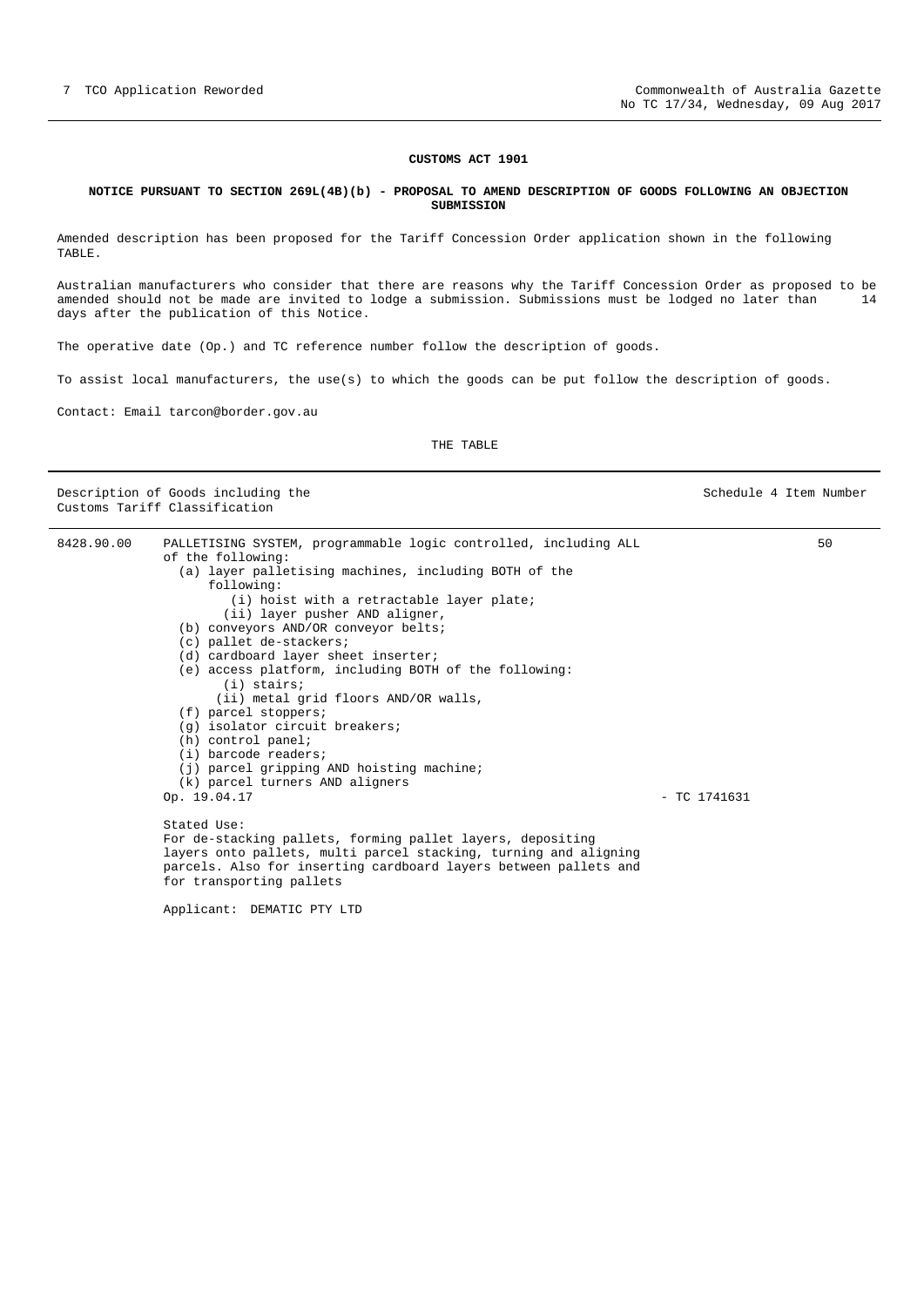Schedule 4 Item Number

#### **CUSTOMS ACT 1901**

#### <span id="page-6-0"></span>**NOTICE PURSUANT TO SECTION 269L(4B)(b) - PROPOSAL TO AMEND DESCRIPTION OF GOODS FOLLOWING AN OBJECTION SUBMISSION**

Amended description has been proposed for the Tariff Concession Order application shown in the following TABLE.

Australian manufacturers who consider that there are reasons why the Tariff Concession Order as proposed to be amended should not be made are invited to lodge a submission. Submissions must be lodged no later than 14 days after the publication of this Notice.

The operative date (Op.) and TC reference number follow the description of goods.

To assist local manufacturers, the use(s) to which the goods can be put follow the description of goods.

Contact: Email tarcon@border.gov.au

### THE TABLE

| Description of Goods including the |
|------------------------------------|
| Customs Tariff Classification      |

| 8428.90.00 | PALLETISING SYSTEM, programmable logic controlled, including ALL |                | 50 |
|------------|------------------------------------------------------------------|----------------|----|
|            | of the following:                                                |                |    |
|            | (a) layer palletising machines, including BOTH of the            |                |    |
|            | following:                                                       |                |    |
|            | (i) hoist with a retractable layer plate;                        |                |    |
|            | (ii) layer pusher AND aligner,                                   |                |    |
|            | (b) conveyors AND/OR conveyor belts;                             |                |    |
|            | (c) pallet de-stackers;                                          |                |    |
|            | (d) cardboard layer sheet inserter;                              |                |    |
|            | (e) access platform, including BOTH of the following:            |                |    |
|            | $(i)$ stairs;                                                    |                |    |
|            | (ii) metal grid floors AND/OR walls,                             |                |    |
|            | $(f)$ parcel stoppers;                                           |                |    |
|            | (g) isolator circuit breakers;                                   |                |    |
|            | $(h)$ control panel;                                             |                |    |
|            | (i) barcode readers;                                             |                |    |
|            | (j) parcel gripping AND hoisting machine;                        |                |    |
|            | (k) parcel turners AND aligners                                  |                |    |
|            | Op. 19.04.17                                                     | $-$ TC 1741631 |    |
|            | Stated Use:                                                      |                |    |
|            | For de-stacking pallets, forming pallet layers, depositing       |                |    |
|            | layers onto pallets, multi parcel stacking, turning and aligning |                |    |
|            | parcels. Also for inserting cardboard layers between pallets and |                |    |
|            | for transporting pallets                                         |                |    |
|            |                                                                  |                |    |

Applicant: DEMATIC PTY LTD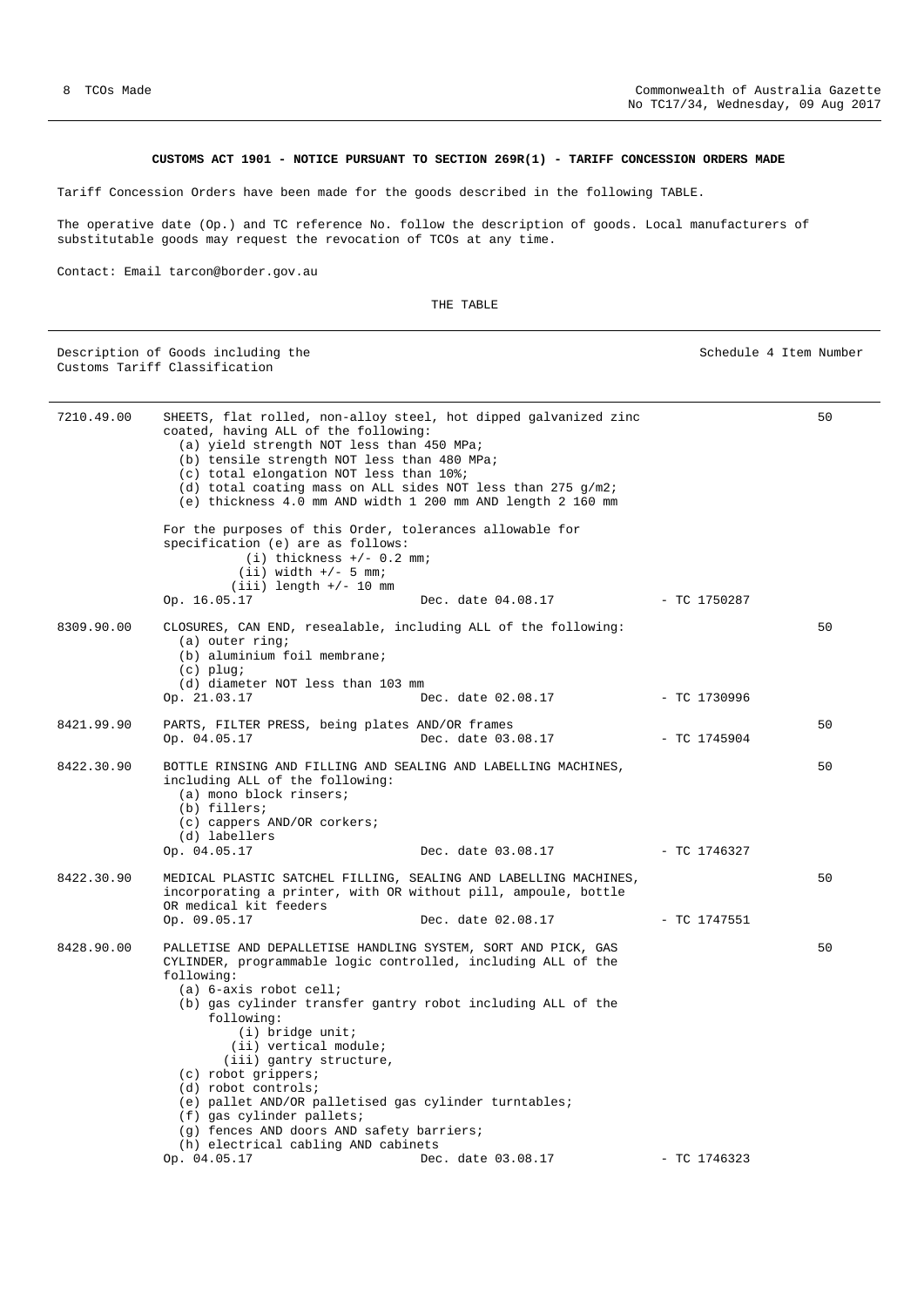Schedule 4 Item Number

50

50

50

50

50

50

### **CUSTOMS ACT 1901 - NOTICE PURSUANT TO SECTION 269R(1) - TARIFF CONCESSION ORDERS MADE**

<span id="page-7-0"></span>Tariff Concession Orders have been made for the goods described in the following TABLE.

7210.49.00 SHEETS, flat rolled, non-alloy steel, hot dipped galvanized zinc

coated, having ALL of the following:

(a) yield strength NOT less than 450 MPa;

 (g) fences AND doors AND safety barriers; (h) electrical cabling AND cabinets

The operative date (Op.) and TC reference No. follow the description of goods. Local manufacturers of substitutable goods may request the revocation of TCOs at any time.

Contact: Email tarcon@border.gov.au

THE TABLE

|  |  | Description of Goods including the |  |
|--|--|------------------------------------|--|
|  |  | Customs Tariff Classification      |  |

|            | (b) tensile strength NOT less than 480 MPa;                                                                                                                                                                                             |                                   |              |
|------------|-----------------------------------------------------------------------------------------------------------------------------------------------------------------------------------------------------------------------------------------|-----------------------------------|--------------|
|            | (c) total elongation NOT less than 10%;                                                                                                                                                                                                 |                                   |              |
|            | (d) total coating mass on ALL sides NOT less than 275 $q/m2i$                                                                                                                                                                           |                                   |              |
|            | (e) thickness 4.0 mm AND width 1 200 mm AND length 2 160 mm                                                                                                                                                                             |                                   |              |
|            | For the purposes of this Order, tolerances allowable for<br>specification (e) are as follows:<br>$(i)$ thickness $+/- 0.2$ mm;<br>$(ii)$ width $+/-$ 5 mm;<br>$(iii)$ length $+/-$ 10 mm                                                |                                   |              |
|            | Op. 16.05.17                                                                                                                                                                                                                            | Dec. date $04.08.17$ - TC 1750287 |              |
| 8309.90.00 | CLOSURES, CAN END, resealable, including ALL of the following:<br>$(a)$ outer ring;<br>(b) aluminium foil membrane;<br>$(c)$ plug;<br>(d) diameter NOT less than 103 mm                                                                 |                                   |              |
|            | Op. 21.03.17                                                                                                                                                                                                                            | Dec. date 02.08.17                | - TC 1730996 |
| 8421.99.90 | PARTS, FILTER PRESS, being plates AND/OR frames                                                                                                                                                                                         |                                   |              |
|            | Op. 04.05.17                                                                                                                                                                                                                            | Dec. date 03.08.17                | - TC 1745904 |
| 8422.30.90 | BOTTLE RINSING AND FILLING AND SEALING AND LABELLING MACHINES,<br>including ALL of the following:<br>(a) mono block rinsers;<br>(b) fillers;<br>(c) cappers AND/OR corkers;<br>(d) labellers                                            |                                   |              |
|            | Op. 04.05.17                                                                                                                                                                                                                            | Dec. date 03.08.17 - TC 1746327   |              |
| 8422.30.90 | MEDICAL PLASTIC SATCHEL FILLING, SEALING AND LABELLING MACHINES,<br>incorporating a printer, with OR without pill, ampoule, bottle<br>OR medical kit feeders                                                                            |                                   |              |
|            | Op. 09.05.17                                                                                                                                                                                                                            | Dec. date 02.08.17                | - TC 1747551 |
| 8428.90.00 | PALLETISE AND DEPALLETISE HANDLING SYSTEM, SORT AND PICK, GAS<br>CYLINDER, programmable logic controlled, including ALL of the<br>following:<br>$(a)$ 6-axis robot cell;<br>(b) gas cylinder transfer gantry robot including ALL of the |                                   |              |
|            | following:<br>$(i)$ bridge unit;<br>(ii) vertical module;<br>(iii) gantry structure,                                                                                                                                                    |                                   |              |
|            | $(c)$ robot grippers;                                                                                                                                                                                                                   |                                   |              |
|            | $(d)$ robot controls;                                                                                                                                                                                                                   |                                   |              |
|            | (e) pallet AND/OR palletised gas cylinder turntables;                                                                                                                                                                                   |                                   |              |
|            | (f) gas cylinder pallets;                                                                                                                                                                                                               |                                   |              |

Op. 04.05.17 Dec. date 03.08.17 - TC 1746323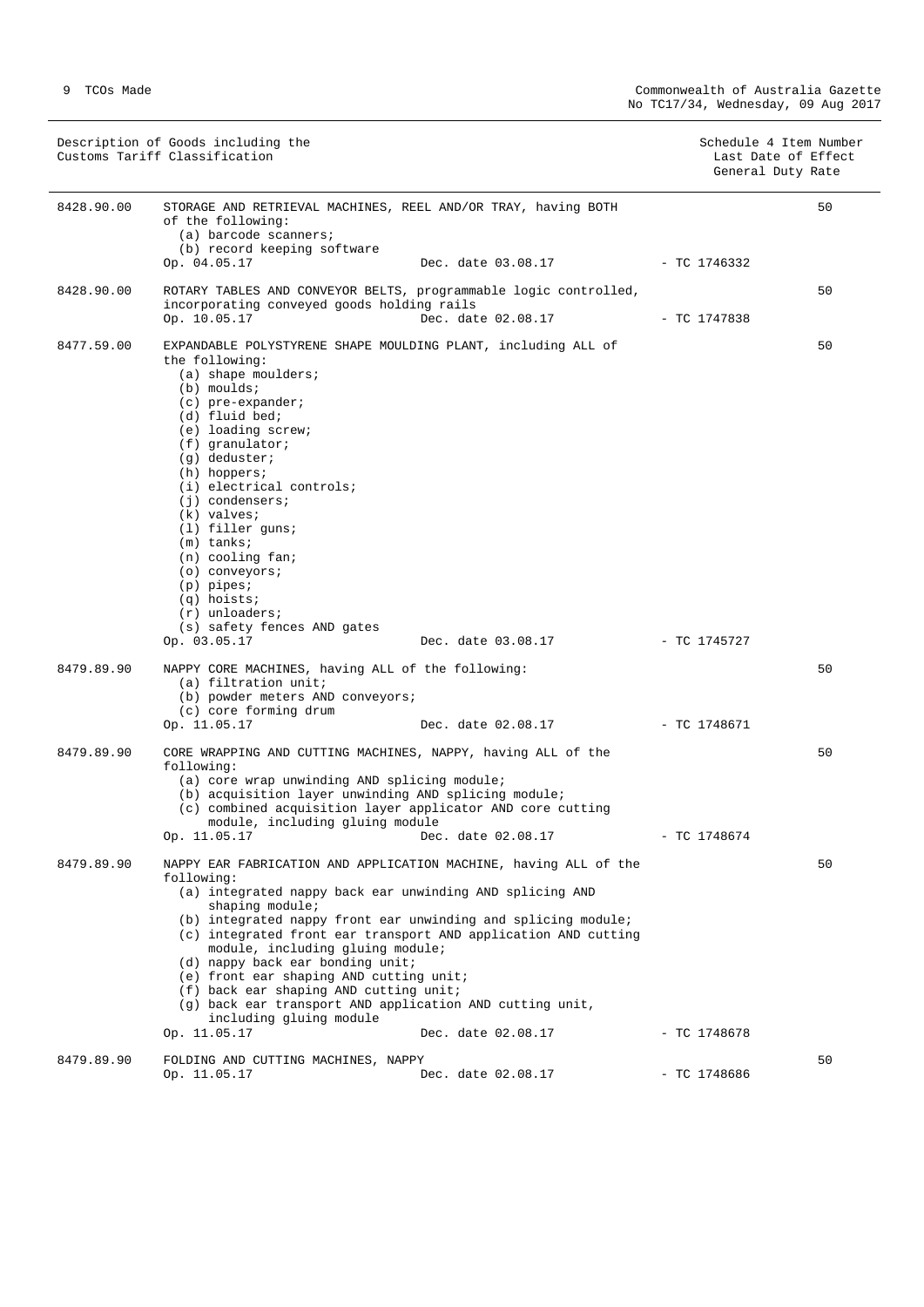|            | Description of Goods including the<br>Customs Tariff Classification                                                                                                                                                                                                                                                                                                                                                                                                                                  |                                                                                      |                | Schedule 4 Item Number<br>Last Date of Effect<br>General Duty Rate |
|------------|------------------------------------------------------------------------------------------------------------------------------------------------------------------------------------------------------------------------------------------------------------------------------------------------------------------------------------------------------------------------------------------------------------------------------------------------------------------------------------------------------|--------------------------------------------------------------------------------------|----------------|--------------------------------------------------------------------|
| 8428.90.00 | STORAGE AND RETRIEVAL MACHINES, REEL AND/OR TRAY, having BOTH<br>of the following:<br>(a) barcode scanners;<br>(b) record keeping software                                                                                                                                                                                                                                                                                                                                                           |                                                                                      |                | 50                                                                 |
|            | Op. 04.05.17                                                                                                                                                                                                                                                                                                                                                                                                                                                                                         | Dec. date 03.08.17                                                                   | $-$ TC 1746332 |                                                                    |
| 8428.90.00 | ROTARY TABLES AND CONVEYOR BELTS, programmable logic controlled,<br>incorporating conveyed goods holding rails<br>Op. 10.05.17                                                                                                                                                                                                                                                                                                                                                                       | Dec. date 02.08.17                                                                   | - TC 1747838   | 50                                                                 |
| 8477.59.00 | EXPANDABLE POLYSTYRENE SHAPE MOULDING PLANT, including ALL of<br>the following:<br>$(a)$ shape moulders;<br>$(b)$ moulds;<br>$(c)$ pre-expander;<br>(d) fluid bed;<br>(e) loading screw;<br>$(f)$ granulator;<br>(g) deduster;<br>$(h)$ hoppers;<br>(i) electrical controls;<br>$(i)$ condensers;<br>$(k)$ valves;<br>$(1)$ filler quns;<br>$(m)$ tanks;<br>$(n)$ cooling fan;<br>(o) conveyors;<br>$(p)$ pipes;<br>$(q)$ hoists;<br>$(r)$ unloaders;<br>(s) safety fences AND gates<br>Op. 03.05.17 | Dec. date 03.08.17                                                                   | - TC 1745727   | 50                                                                 |
| 8479.89.90 | NAPPY CORE MACHINES, having ALL of the following:<br>(a) filtration unit;<br>(b) powder meters AND conveyors;<br>(c) core forming drum<br>Op. 11.05.17                                                                                                                                                                                                                                                                                                                                               | Dec. date 02.08.17                                                                   | - TC 1748671   | 50                                                                 |
| 8479.89.90 | CORE WRAPPING AND CUTTING MACHINES, NAPPY, having ALL of the<br>following:<br>(a) core wrap unwinding AND splicing module;<br>(b) acquisition layer unwinding AND splicing module;<br>(c) combined acquisition layer applicator AND core cutting<br>module, including gluing module<br>Op. 11.05.17                                                                                                                                                                                                  | Dec. date 02.08.17                                                                   | $-$ TC 1748674 | 50                                                                 |
| 8479.89.90 | NAPPY EAR FABRICATION AND APPLICATION MACHINE, having ALL of the<br>following:<br>(a) integrated nappy back ear unwinding AND splicing AND<br>shaping module;<br>(b) integrated nappy front ear unwinding and splicing module;<br>module, including gluing module;<br>(d) nappy back ear bonding unit;<br>(e) front ear shaping AND cutting unit;<br>(f) back ear shaping AND cutting unit;<br>(q) back ear transport AND application AND cutting unit,<br>including gluing module<br>Op. 11.05.17   | (c) integrated front ear transport AND application AND cutting<br>Dec. date 02.08.17 | $-$ TC 1748678 | 50                                                                 |
| 8479.89.90 | FOLDING AND CUTTING MACHINES, NAPPY                                                                                                                                                                                                                                                                                                                                                                                                                                                                  |                                                                                      |                | 50                                                                 |
|            | Op. 11.05.17                                                                                                                                                                                                                                                                                                                                                                                                                                                                                         | Dec. date 02.08.17                                                                   | $-$ TC 1748686 |                                                                    |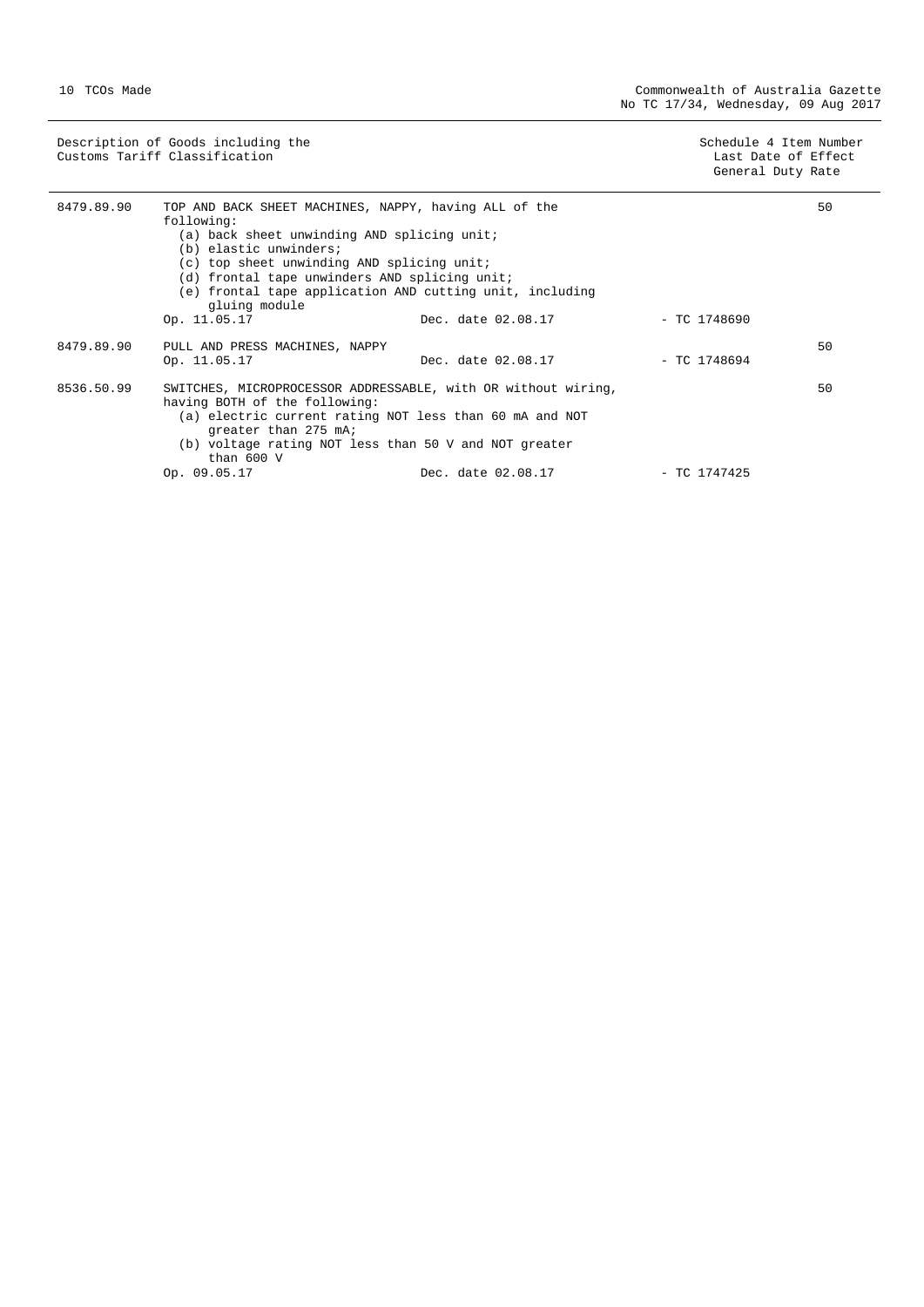| Description of Goods including the | Schedule 4 Item Number |
|------------------------------------|------------------------|
| Customs Tariff Classification      | Last Date of Effect    |
|                                    | General Duty Rate      |
|                                    |                        |

| 8479.89.90 | TOP AND BACK SHEET MACHINES, NAPPY, having ALL of the<br>following:<br>(a) back sheet unwinding AND splicing unit;<br>(b) elastic unwinders;<br>(c) top sheet unwinding AND splicing unit;<br>(d) frontal tape unwinders AND splicing unit;<br>(e) frontal tape application AND cutting unit, including<br>gluing module |                    |                | 50 |
|------------|--------------------------------------------------------------------------------------------------------------------------------------------------------------------------------------------------------------------------------------------------------------------------------------------------------------------------|--------------------|----------------|----|
|            | Op. 11.05.17                                                                                                                                                                                                                                                                                                             | Dec. date 02.08.17 | - TC 1748690   |    |
| 8479.89.90 | PULL AND PRESS MACHINES, NAPPY<br>Op. 11.05.17                                                                                                                                                                                                                                                                           | Dec. date 02.08.17 | $-$ TC 1748694 | 50 |
| 8536.50.99 | SWITCHES, MICROPROCESSOR ADDRESSABLE, with OR without wiring,<br>having BOTH of the following:<br>(a) electric current rating NOT less than 60 mA and NOT<br>greater than 275 mA;<br>(b) voltage rating NOT less than 50 V and NOT greater<br>than $600V$                                                                |                    |                | 50 |
|            | Op. 09.05.17                                                                                                                                                                                                                                                                                                             | Dec. date 02.08.17 | - TC 1747425   |    |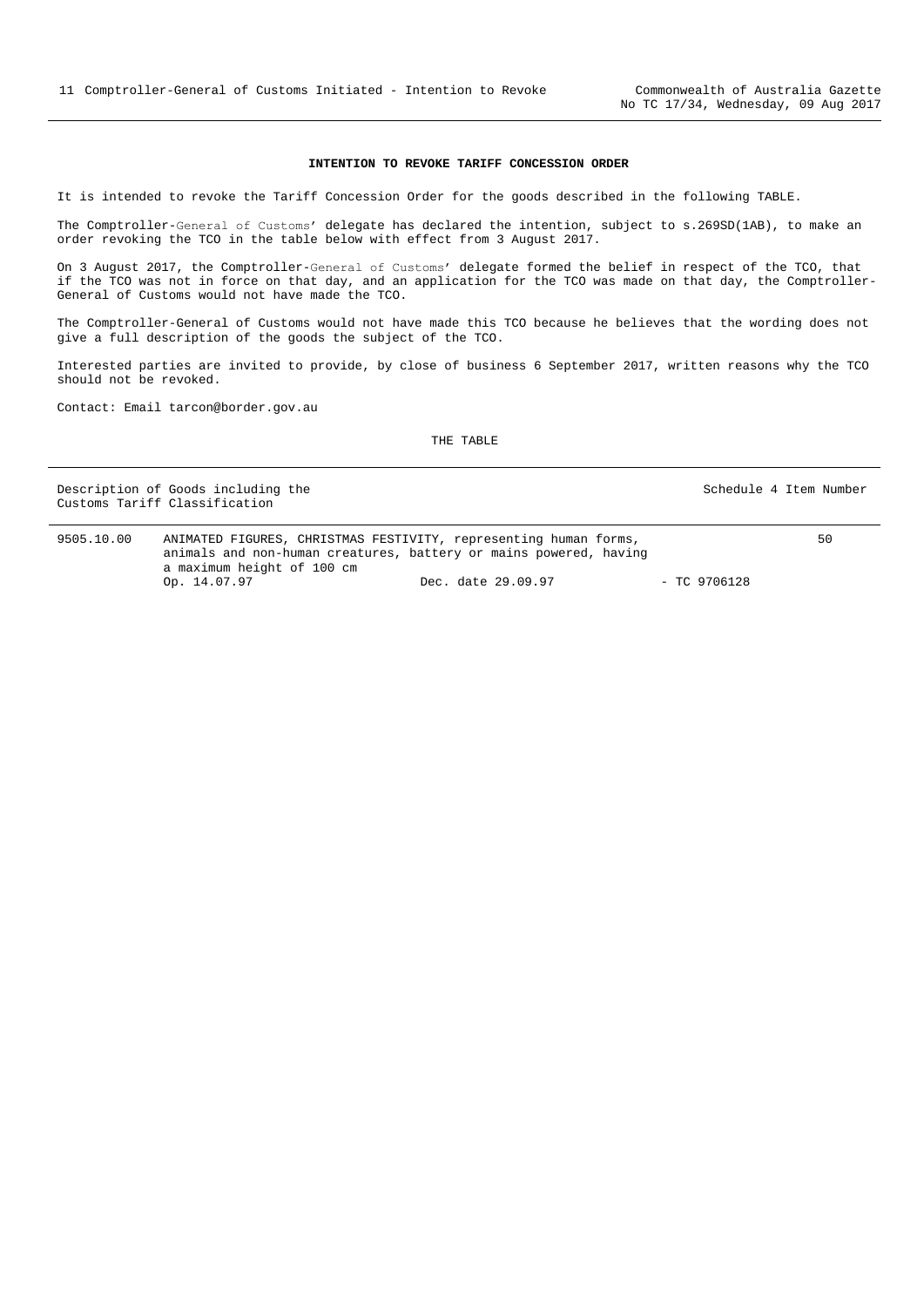#### **INTENTION TO REVOKE TARIFF CONCESSION ORDER**

<span id="page-10-0"></span>It is intended to revoke the Tariff Concession Order for the goods described in the following TABLE.

The Comptroller-General of Customs' delegate has declared the intention, subject to s.269SD(1AB), to make an order revoking the TCO in the table below with effect from 3 August 2017.

On 3 August 2017, the Comptroller-General of Customs' delegate formed the belief in respect of the TCO, that if the TCO was not in force on that day, and an application for the TCO was made on that day, the Comptroller-General of Customs would not have made the TCO.

The Comptroller-General of Customs would not have made this TCO because he believes that the wording does not give a full description of the goods the subject of the TCO.

Interested parties are invited to provide, by close of business 6 September 2017, written reasons why the TCO should not be revoked.

Contact: Email tarcon@border.gov.au

|            | Description of Goods including the<br>Customs Tariff Classification                                                                                                 |                    |                | Schedule 4 Item Number |
|------------|---------------------------------------------------------------------------------------------------------------------------------------------------------------------|--------------------|----------------|------------------------|
| 9505.10.00 | ANIMATED FIGURES, CHRISTMAS FESTIVITY, representing human forms,<br>animals and non-human creatures, battery or mains powered, having<br>a maximum height of 100 cm |                    |                | 50                     |
|            | Op. 14.07.97                                                                                                                                                        | Dec. date 29.09.97 | $-$ TC 9706128 |                        |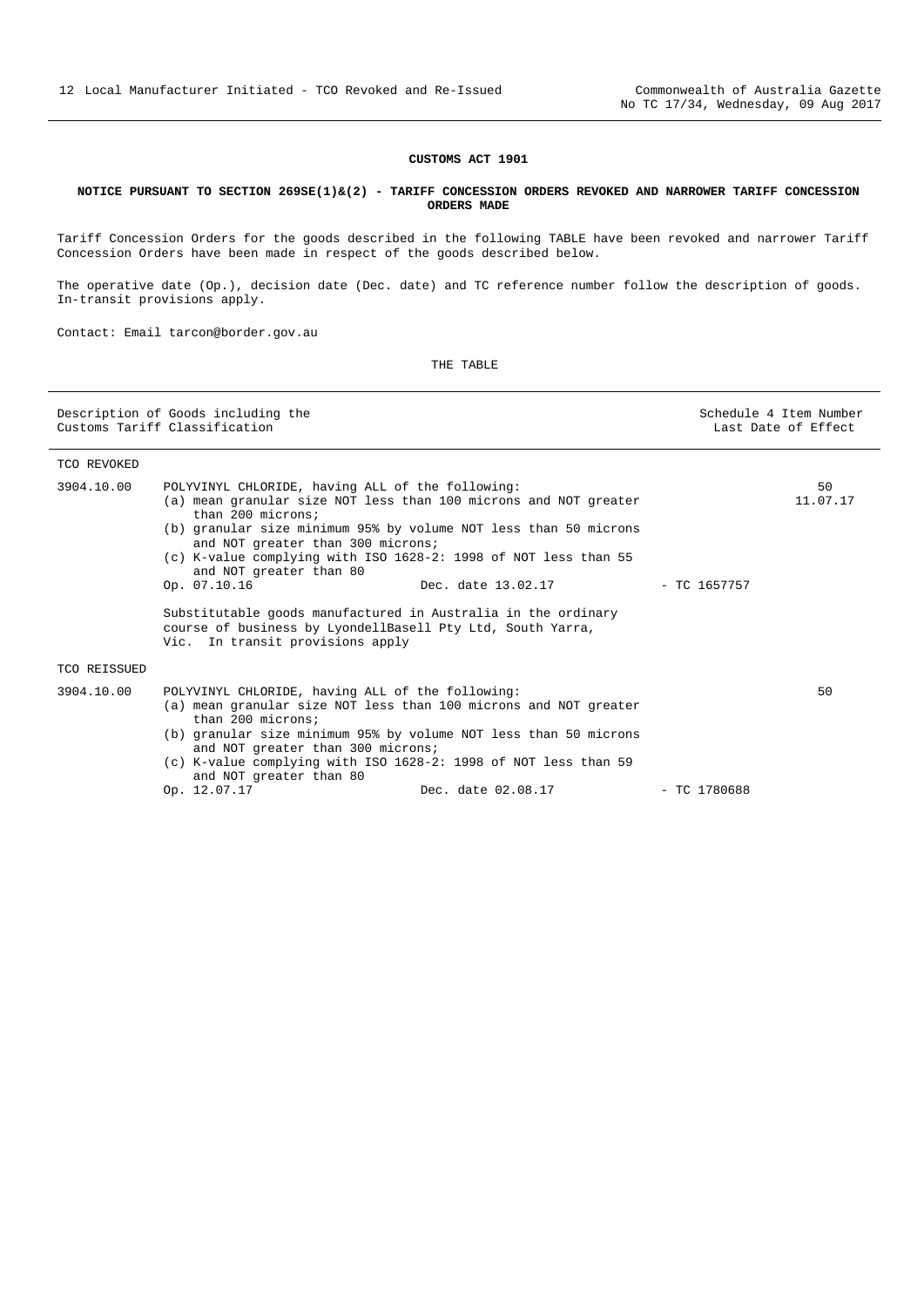### **CUSTOMS ACT 1901**

#### <span id="page-11-0"></span>**NOTICE PURSUANT TO SECTION 269SE(1)&(2) - TARIFF CONCESSION ORDERS REVOKED AND NARROWER TARIFF CONCESSION ORDERS MADE**

Tariff Concession Orders for the goods described in the following TABLE have been revoked and narrower Tariff Concession Orders have been made in respect of the goods described below.

The operative date (Op.), decision date (Dec. date) and TC reference number follow the description of goods. In-transit provisions apply.

Contact: Email tarcon@border.gov.au

|              | Description of Goods including the<br>Customs Tariff Classification                                                                                                                                                                                     |                                                                                                                                                                                                                                                                                                |                | Schedule 4 Item Number<br>Last Date of Effect |
|--------------|---------------------------------------------------------------------------------------------------------------------------------------------------------------------------------------------------------------------------------------------------------|------------------------------------------------------------------------------------------------------------------------------------------------------------------------------------------------------------------------------------------------------------------------------------------------|----------------|-----------------------------------------------|
| TCO REVOKED  |                                                                                                                                                                                                                                                         |                                                                                                                                                                                                                                                                                                |                |                                               |
| 3904.10.00   | POLYVINYL CHLORIDE, having ALL of the following:<br>than 200 microns;<br>and NOT greater than 300 microns;<br>and NOT greater than 80<br>Op. 07.10.16<br>course of business by LyondellBasell Pty Ltd, South Yarra,<br>Vic. In transit provisions apply | (a) mean granular size NOT less than 100 microns and NOT greater<br>(b) granular size minimum 95% by volume NOT less than 50 microns<br>(c) K-value complying with ISO 1628-2: 1998 of NOT less than 55<br>Dec. date 13.02.17<br>Substitutable goods manufactured in Australia in the ordinary | - TC 1657757   | 50<br>11.07.17                                |
| TCO REISSUED |                                                                                                                                                                                                                                                         |                                                                                                                                                                                                                                                                                                |                |                                               |
| 3904.10.00   | POLYVINYL CHLORIDE, having ALL of the following:<br>than 200 microns;<br>and NOT greater than 300 microns;<br>and NOT greater than 80                                                                                                                   | (a) mean granular size NOT less than 100 microns and NOT greater<br>(b) granular size minimum 95% by volume NOT less than 50 microns<br>(c) K-value complying with ISO 1628-2: 1998 of NOT less than 59                                                                                        |                | 50                                            |
|              | Op. 12.07.17                                                                                                                                                                                                                                            | Dec. date 02.08.17                                                                                                                                                                                                                                                                             | $-$ TC 1780688 |                                               |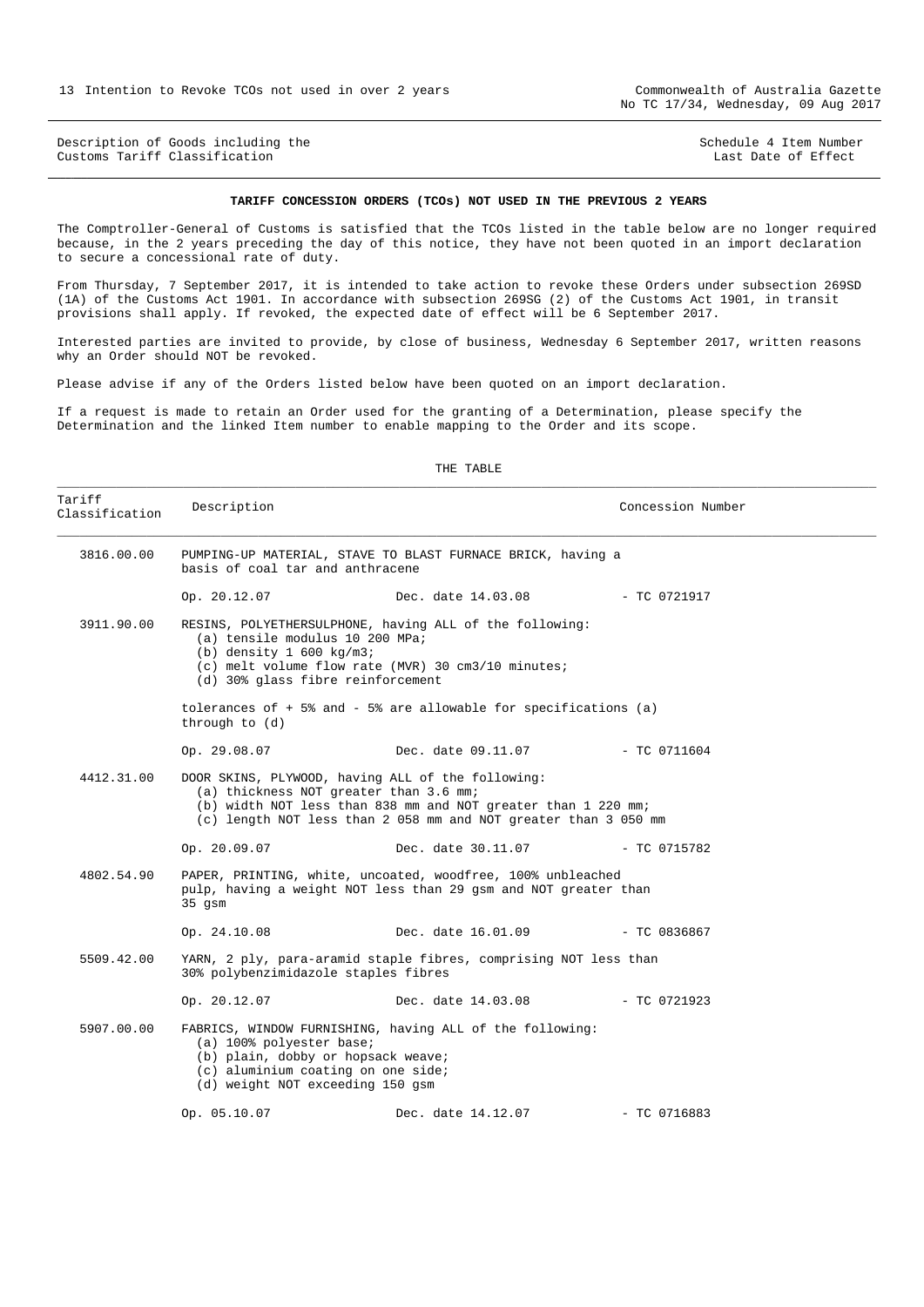<span id="page-12-0"></span>Description of Goods including the Schedule 4 Item Number<br>
Customs Tariff Classification<br>
Schedule 4 Item Number Customs Tariff Classification

#### **TARIFF CONCESSION ORDERS (TCOs) NOT USED IN THE PREVIOUS 2 YEARS**

The Comptroller-General of Customs is satisfied that the TCOs listed in the table below are no longer required because, in the 2 years preceding the day of this notice, they have not been quoted in an import declaration to secure a concessional rate of duty.

From Thursday, 7 September 2017, it is intended to take action to revoke these Orders under subsection 269SD (1A) of the Customs Act 1901. In accordance with subsection 269SG (2) of the Customs Act 1901, in transit provisions shall apply. If revoked, the expected date of effect will be 6 September 2017.

Interested parties are invited to provide, by close of business, Wednesday 6 September 2017, written reasons why an Order should NOT be revoked.

THE TABLE

Please advise if any of the Orders listed below have been quoted on an import declaration.

If a request is made to retain an Order used for the granting of a Determination, please specify the Determination and the linked Item number to enable mapping to the Order and its scope.

| Tariff<br>Classification | Description                                                                                                                              |                                                                                                                                  | Concession Number |
|--------------------------|------------------------------------------------------------------------------------------------------------------------------------------|----------------------------------------------------------------------------------------------------------------------------------|-------------------|
| 3816.00.00               | basis of coal tar and anthracene                                                                                                         | PUMPING-UP MATERIAL, STAVE TO BLAST FURNACE BRICK, having a                                                                      |                   |
|                          | Op. 20.12.07                                                                                                                             | Dec. date 14.03.08                                                                                                               | - TC 0721917      |
| 3911.90.00               | (a) tensile modulus 10 200 MPa;<br>(b) density $1\,600\,kg/m3$ ;<br>(d) 30% glass fibre reinforcement                                    | RESINS, POLYETHERSULPHONE, having ALL of the following:<br>$(c)$ melt volume flow rate (MVR) 30 cm3/10 minutes;                  |                   |
|                          | through to (d)                                                                                                                           | tolerances of $+5$ and $-5$ are allowable for specifications (a)                                                                 |                   |
|                          | Op. 29.08.07                                                                                                                             | Dec. date 09.11.07    - TC 0711604                                                                                               |                   |
| 4412.31.00               | DOOR SKINS, PLYWOOD, having ALL of the following:<br>(a) thickness NOT greater than 3.6 mm;                                              | (b) width NOT less than 838 mm and NOT greater than 1 220 mm;<br>(c) length NOT less than 2 058 mm and NOT greater than 3 050 mm |                   |
|                          | Op. 20.09.07                                                                                                                             | Dec. date 30.11.07                                                                                                               | $-$ TC 0715782    |
| 4802.54.90               | $35$ gsm                                                                                                                                 | PAPER, PRINTING, white, uncoated, woodfree, 100% unbleached<br>pulp, having a weight NOT less than 29 gsm and NOT greater than   |                   |
|                          | Op. 24.10.08 Dec. date 16.01.09                                                                                                          |                                                                                                                                  | $-$ TC 0836867    |
| 5509.42.00               | 30% polybenzimidazole staples fibres                                                                                                     | YARN, 2 ply, para-aramid staple fibres, comprising NOT less than                                                                 |                   |
|                          | Op. 20.12.07                                                                                                                             | Dec. date 14.03.08 - TC 0721923                                                                                                  |                   |
| 5907.00.00               | (a) 100% polyester base;<br>(b) plain, dobby or hopsack weave;<br>(c) aluminium coating on one side;<br>(d) weight NOT exceeding 150 gsm | FABRICS, WINDOW FURNISHING, having ALL of the following:                                                                         |                   |
|                          | Op. 05.10.07                                                                                                                             | Dec. date 14.12.07                                                                                                               | $-$ TC 0716883    |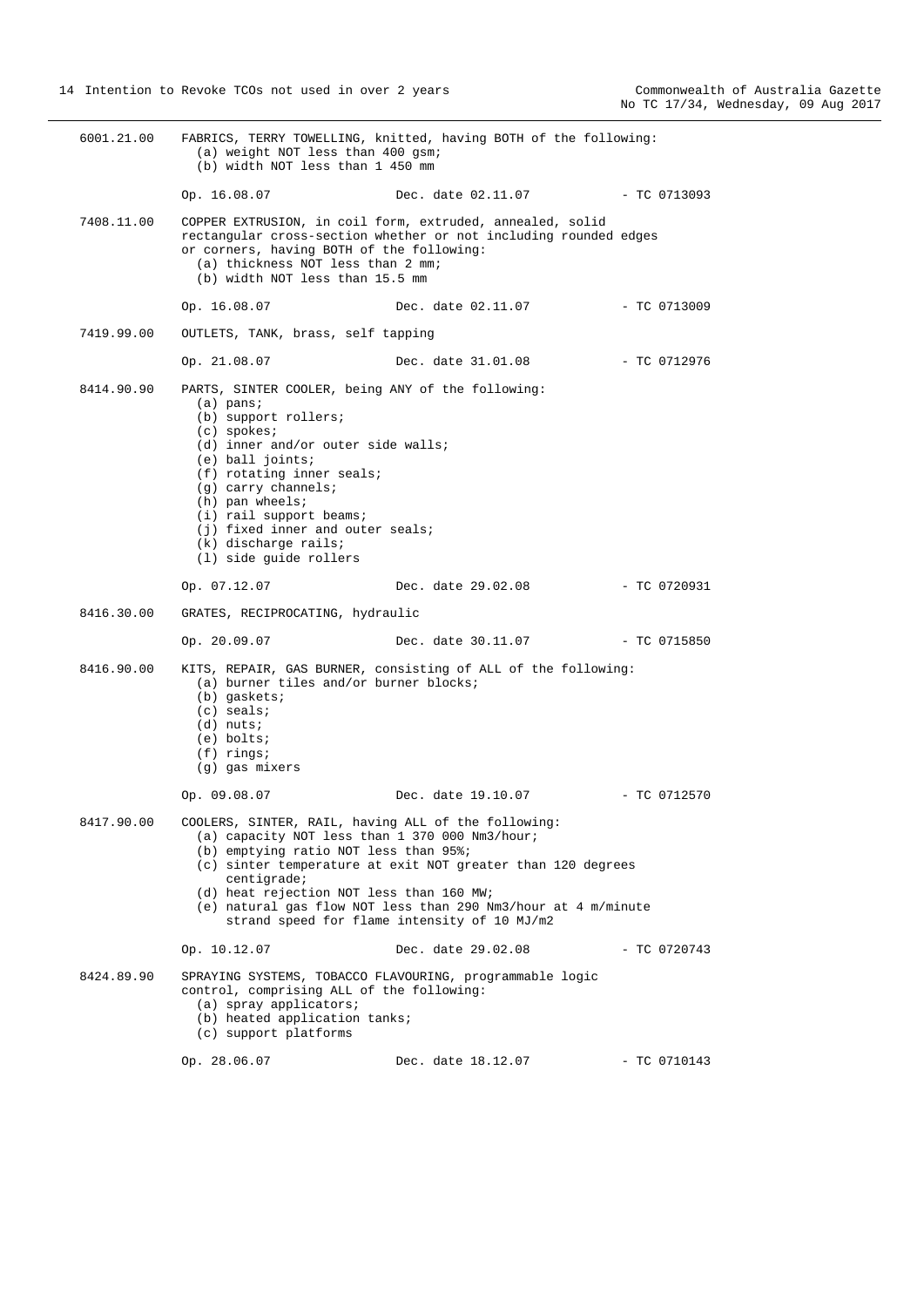| 6001.21.00 | (a) weight NOT less than 400 gsm;<br>(b) width NOT less than 1 450 mm                                                                                                                                                                                                                                                                                               | FABRICS, TERRY TOWELLING, knitted, having BOTH of the following:                                                                                                             |                |
|------------|---------------------------------------------------------------------------------------------------------------------------------------------------------------------------------------------------------------------------------------------------------------------------------------------------------------------------------------------------------------------|------------------------------------------------------------------------------------------------------------------------------------------------------------------------------|----------------|
|            | Op. 16.08.07                                                                                                                                                                                                                                                                                                                                                        | Dec. date 02.11.07                                                                                                                                                           | - TC 0713093   |
| 7408.11.00 | or corners, having BOTH of the following:<br>(a) thickness NOT less than 2 mm;<br>(b) width NOT less than 15.5 mm                                                                                                                                                                                                                                                   | COPPER EXTRUSION, in coil form, extruded, annealed, solid<br>rectangular cross-section whether or not including rounded edges                                                |                |
|            | Op. 16.08.07                                                                                                                                                                                                                                                                                                                                                        | Dec. date 02.11.07                                                                                                                                                           | - TC 0713009   |
| 7419.99.00 | OUTLETS, TANK, brass, self tapping                                                                                                                                                                                                                                                                                                                                  |                                                                                                                                                                              |                |
|            | Op. 21.08.07                                                                                                                                                                                                                                                                                                                                                        | Dec. date 31.01.08                                                                                                                                                           | - TC 0712976   |
| 8414.90.90 | PARTS, SINTER COOLER, being ANY of the following:<br>$(a)$ pans;<br>(b) support rollers;<br>$(c)$ spokes;<br>(d) inner and/or outer side walls;<br>$(e)$ ball joints;<br>(f) rotating inner seals;<br>$(g)$ carry channels;<br>$(h)$ pan wheels;<br>(i) rail support beams;<br>(j) fixed inner and outer seals;<br>$(k)$ discharge rails;<br>(1) side guide rollers |                                                                                                                                                                              |                |
|            | Op. 07.12.07                                                                                                                                                                                                                                                                                                                                                        | Dec. date 29.02.08                                                                                                                                                           | - TC 0720931   |
| 8416.30.00 | GRATES, RECIPROCATING, hydraulic                                                                                                                                                                                                                                                                                                                                    |                                                                                                                                                                              |                |
|            | Op. 20.09.07                                                                                                                                                                                                                                                                                                                                                        | Dec. date 30.11.07                                                                                                                                                           | - TC 0715850   |
| 8416.90.00 | (a) burner tiles and/or burner blocks;<br>$(b)$ gaskets;<br>$(c)$ seals;<br>$(d)$ nuts;<br>$(e)$ bolts;<br>$(f)$ rings;<br>(g) gas mixers                                                                                                                                                                                                                           | KITS, REPAIR, GAS BURNER, consisting of ALL of the following:                                                                                                                |                |
|            | Op. 09.08.07                                                                                                                                                                                                                                                                                                                                                        | Dec. date 19.10.07                                                                                                                                                           | $-$ TC 0712570 |
| 8417.90.00 | COOLERS, SINTER, RAIL, having ALL of the following:<br>(a) capacity NOT less than 1 370 000 Nm3/hour;<br>(b) emptying ratio NOT less than 95%;<br>centigrade;<br>(d) heat rejection NOT less than 160 MW;                                                                                                                                                           | (c) sinter temperature at exit NOT greater than 120 degrees<br>(e) natural gas flow NOT less than 290 Nm3/hour at 4 m/minute<br>strand speed for flame intensity of 10 MJ/m2 |                |
|            | Op. 10.12.07                                                                                                                                                                                                                                                                                                                                                        | Dec. date 29.02.08                                                                                                                                                           | $-$ TC 0720743 |
| 8424.89.90 | control, comprising ALL of the following:<br>$(a)$ spray applicators;<br>(b) heated application tanks;<br>(c) support platforms                                                                                                                                                                                                                                     | SPRAYING SYSTEMS, TOBACCO FLAVOURING, programmable logic                                                                                                                     |                |
|            | Op. 28.06.07                                                                                                                                                                                                                                                                                                                                                        | Dec. date 18.12.07                                                                                                                                                           | $-$ TC 0710143 |
|            |                                                                                                                                                                                                                                                                                                                                                                     |                                                                                                                                                                              |                |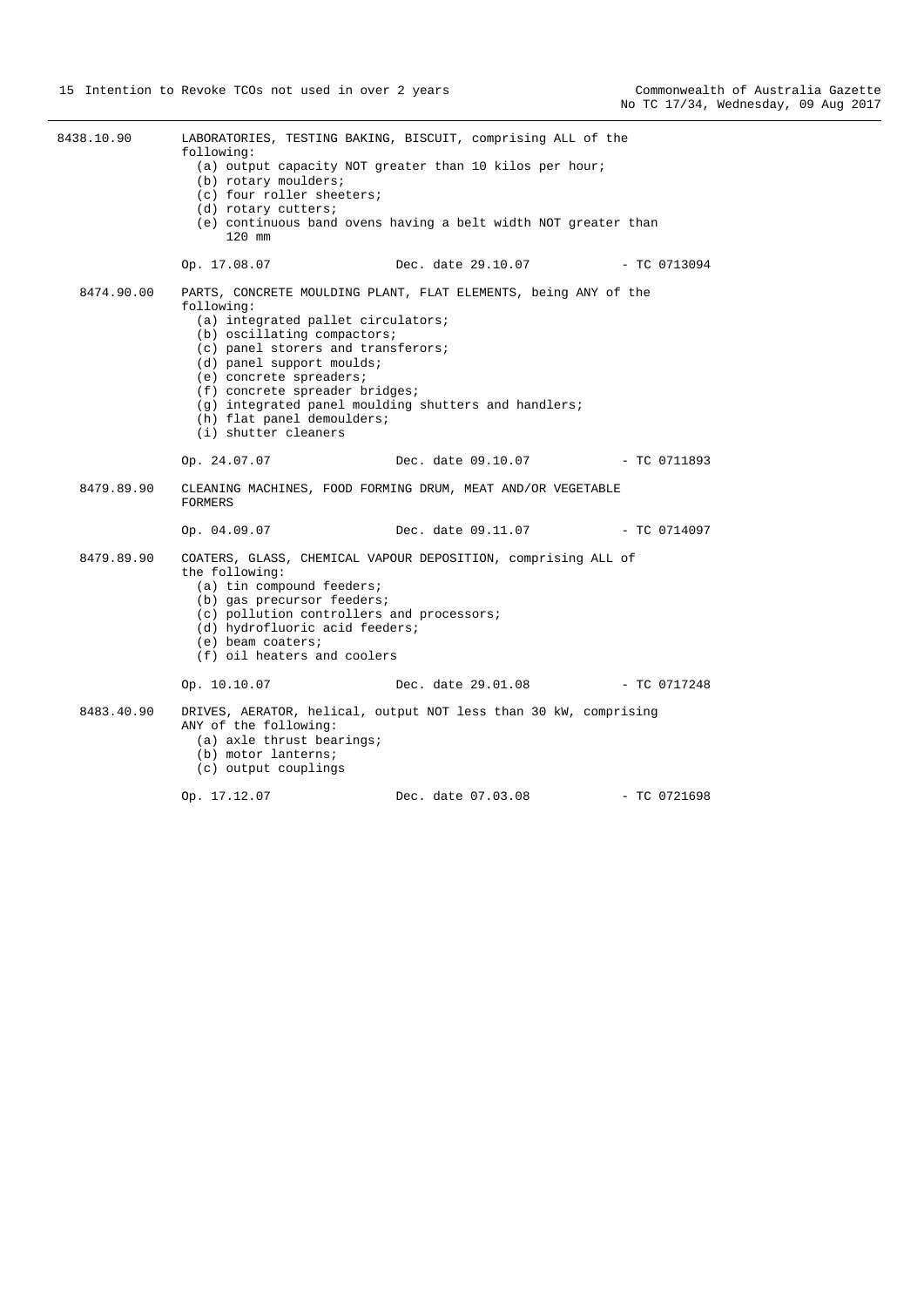| 8438.10.90 | following:<br>(b) rotary moulders;<br>(c) four roller sheeters;<br>(d) rotary cutters;<br>120 mm                                                                                                                                                                      | LABORATORIES, TESTING BAKING, BISCUIT, comprising ALL of the<br>(a) output capacity NOT greater than 10 kilos per hour;<br>(e) continuous band ovens having a belt width NOT greater than |                |
|------------|-----------------------------------------------------------------------------------------------------------------------------------------------------------------------------------------------------------------------------------------------------------------------|-------------------------------------------------------------------------------------------------------------------------------------------------------------------------------------------|----------------|
|            | Op. 17.08.07                                                                                                                                                                                                                                                          | Dec. date 29.10.07                                                                                                                                                                        | - TC 0713094   |
| 8474.90.00 | following:<br>(a) integrated pallet circulators;<br>(b) oscillating compactors;<br>(c) panel storers and transferors;<br>(d) panel support moulds;<br>(e) concrete spreaders;<br>(f) concrete spreader bridges;<br>(h) flat panel demoulders;<br>(i) shutter cleaners | PARTS, CONCRETE MOULDING PLANT, FLAT ELEMENTS, being ANY of the<br>(q) integrated panel moulding shutters and handlers;                                                                   |                |
|            | Op. 24.07.07                                                                                                                                                                                                                                                          | Dec. date 09.10.07 - TC 0711893                                                                                                                                                           |                |
| 8479.89.90 | <b>FORMERS</b>                                                                                                                                                                                                                                                        | CLEANING MACHINES, FOOD FORMING DRUM, MEAT AND/OR VEGETABLE                                                                                                                               |                |
|            | Op. 04.09.07                                                                                                                                                                                                                                                          | Dec. date 09.11.07 - TC 0714097                                                                                                                                                           |                |
| 8479.89.90 | the following:<br>(a) tin compound feeders;<br>(b) gas precursor feeders;<br>(c) pollution controllers and processors;<br>(d) hydrofluoric acid feeders;<br>$(e)$ beam coaters;<br>(f) oil heaters and coolers                                                        | COATERS, GLASS, CHEMICAL VAPOUR DEPOSITION, comprising ALL of                                                                                                                             |                |
|            | Op. 10.10.07                                                                                                                                                                                                                                                          | Dec. date 29.01.08 - TC 0717248                                                                                                                                                           |                |
| 8483.40.90 | ANY of the following:<br>(a) axle thrust bearings;<br>(b) motor lanterns;<br>(c) output couplings                                                                                                                                                                     | DRIVES, AERATOR, helical, output NOT less than 30 kW, comprising                                                                                                                          |                |
|            | Op. 17.12.07                                                                                                                                                                                                                                                          | Dec. date 07.03.08                                                                                                                                                                        | $-$ TC 0721698 |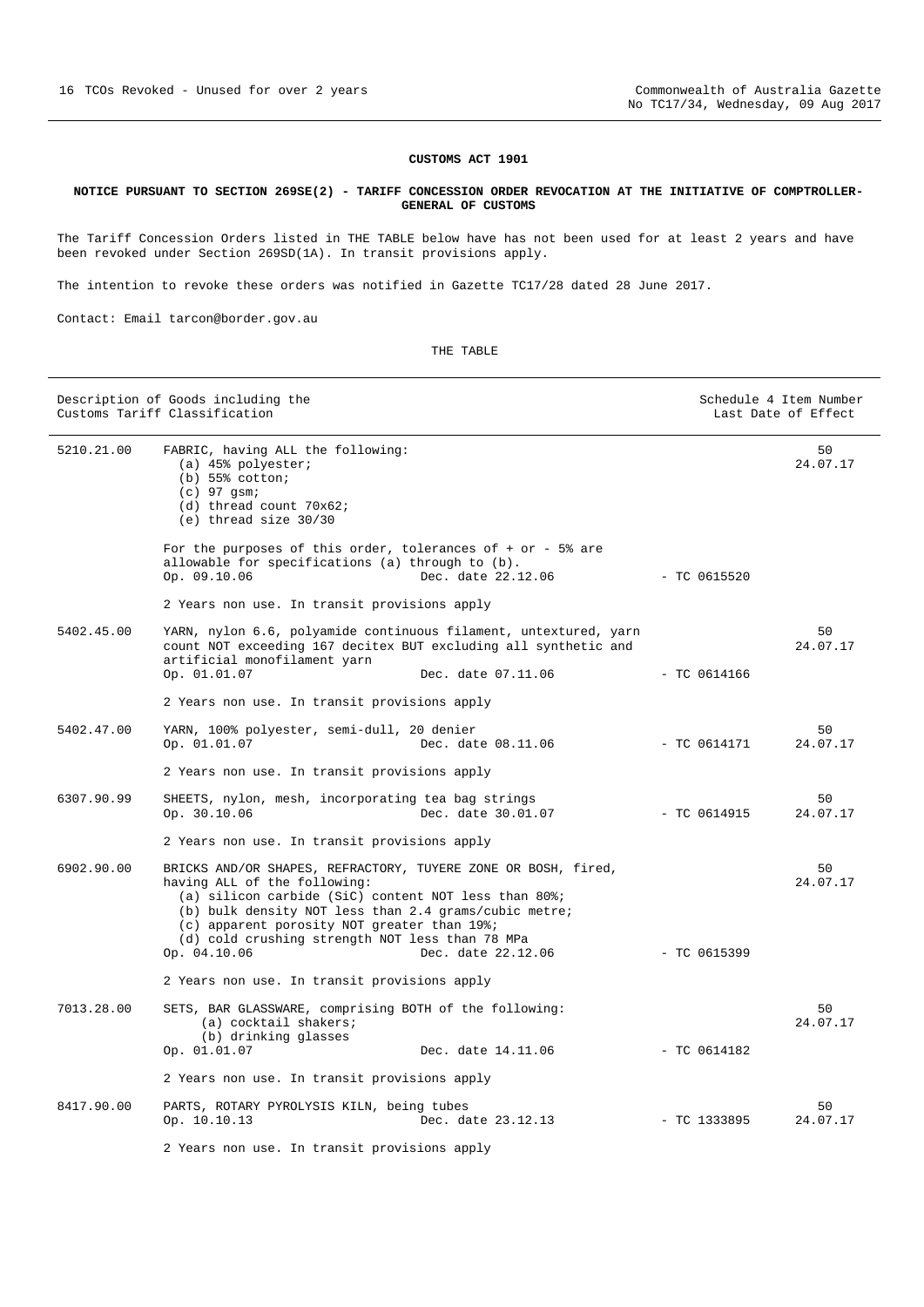### **CUSTOMS ACT 1901**

#### <span id="page-15-0"></span>**NOTICE PURSUANT TO SECTION 269SE(2) - TARIFF CONCESSION ORDER REVOCATION AT THE INITIATIVE OF COMPTROLLER-GENERAL OF CUSTOMS**

The Tariff Concession Orders listed in THE TABLE below have has not been used for at least 2 years and have been revoked under Section 269SD(1A). In transit provisions apply.

The intention to revoke these orders was notified in Gazette TC17/28 dated 28 June 2017.

Contact: Email tarcon@border.gov.au

|            | Description of Goods including the<br>Customs Tariff Classification                                                                                                                                                                                                                                                              |                    |                | Schedule 4 Item Number<br>Last Date of Effect |
|------------|----------------------------------------------------------------------------------------------------------------------------------------------------------------------------------------------------------------------------------------------------------------------------------------------------------------------------------|--------------------|----------------|-----------------------------------------------|
| 5210.21.00 | FABRIC, having ALL the following:<br>(a) $45%$ polyester;<br>$(b)$ 55% cotton;<br>$(c)$ 97 qsm;<br>(d) thread count 70x62;<br>$(e)$ thread size $30/30$                                                                                                                                                                          |                    |                | 50<br>24.07.17                                |
|            | For the purposes of this order, tolerances of $+$ or $-$ 5% are<br>allowable for specifications (a) through to (b).<br>Op. 09.10.06                                                                                                                                                                                              | Dec. date 22.12.06 | $-$ TC 0615520 |                                               |
|            | 2 Years non use. In transit provisions apply                                                                                                                                                                                                                                                                                     |                    |                |                                               |
| 5402.45.00 | YARN, nylon 6.6, polyamide continuous filament, untextured, yarn<br>count NOT exceeding 167 decitex BUT excluding all synthetic and<br>artificial monofilament yarn<br>Op. 01.01.07                                                                                                                                              | Dec. date 07.11.06 | $-$ TC 0614166 | 50<br>24.07.17                                |
|            |                                                                                                                                                                                                                                                                                                                                  |                    |                |                                               |
|            | 2 Years non use. In transit provisions apply                                                                                                                                                                                                                                                                                     |                    |                |                                               |
| 5402.47.00 | YARN, 100% polyester, semi-dull, 20 denier<br>Op. 01.01.07                                                                                                                                                                                                                                                                       | Dec. date 08.11.06 | $-$ TC 0614171 | 50<br>24.07.17                                |
|            | 2 Years non use. In transit provisions apply                                                                                                                                                                                                                                                                                     |                    |                |                                               |
| 6307.90.99 | SHEETS, nylon, mesh, incorporating tea bag strings<br>Op. 30.10.06                                                                                                                                                                                                                                                               | Dec. date 30.01.07 | $-$ TC 0614915 | 50<br>24.07.17                                |
|            | 2 Years non use. In transit provisions apply                                                                                                                                                                                                                                                                                     |                    |                |                                               |
| 6902.90.00 | BRICKS AND/OR SHAPES, REFRACTORY, TUYERE ZONE OR BOSH, fired,<br>having ALL of the following:<br>(a) silicon carbide (SiC) content NOT less than 80%;<br>(b) bulk density NOT less than 2.4 grams/cubic metre;<br>(c) apparent porosity NOT greater than 19%;<br>(d) cold crushing strength NOT less than 78 MPa<br>Op. 04.10.06 | Dec. date 22.12.06 | $-$ TC 0615399 | 50<br>24.07.17                                |
|            | 2 Years non use. In transit provisions apply                                                                                                                                                                                                                                                                                     |                    |                |                                               |
| 7013.28.00 | SETS, BAR GLASSWARE, comprising BOTH of the following:<br>(a) cocktail shakers;<br>(b) drinking glasses<br>Op. 01.01.07                                                                                                                                                                                                          | Dec. date 14.11.06 | $-$ TC 0614182 | 50<br>24.07.17                                |
|            | 2 Years non use. In transit provisions apply                                                                                                                                                                                                                                                                                     |                    |                |                                               |
|            |                                                                                                                                                                                                                                                                                                                                  |                    |                |                                               |
| 8417.90.00 | PARTS, ROTARY PYROLYSIS KILN, being tubes<br>Op. 10.10.13                                                                                                                                                                                                                                                                        | Dec. date 23.12.13 | $-$ TC 1333895 | 50<br>24.07.17                                |
|            | 2 Years non use. In transit provisions apply                                                                                                                                                                                                                                                                                     |                    |                |                                               |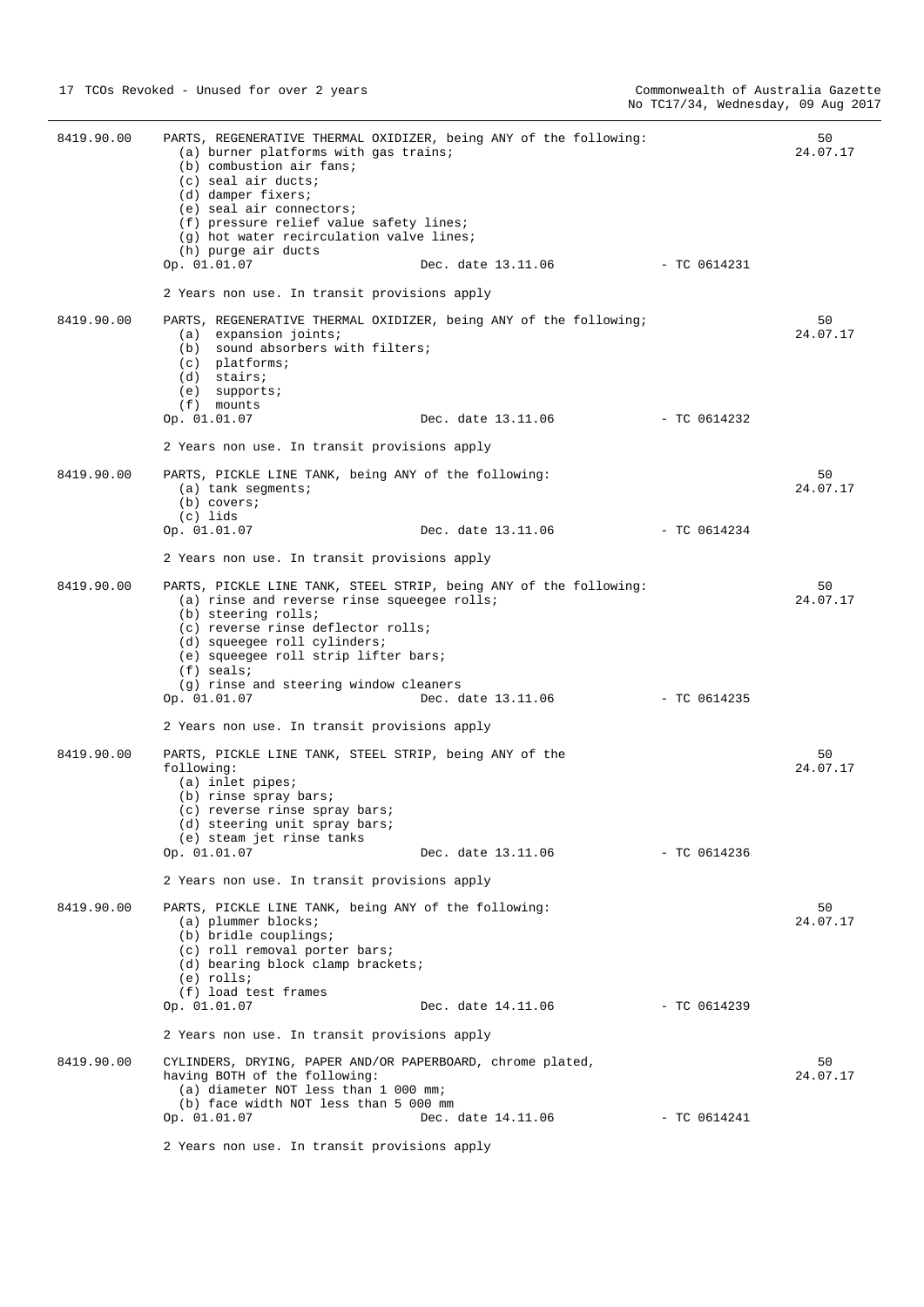| 8419.90.00 | PARTS, REGENERATIVE THERMAL OXIDIZER, being ANY of the following:<br>(a) burner platforms with gas trains;<br>(b) combustion air fans;<br>(c) seal air ducts;<br>(d) damper fixers;<br>(e) seal air connectors;<br>(f) pressure relief value safety lines;<br>(q) hot water recirculation valve lines;<br>(h) purge air ducts<br>Op. 01.01.07<br>2 Years non use. In transit provisions apply | Dec. date 13.11.06 | - TC 0614231   | 50<br>24.07.17 |
|------------|-----------------------------------------------------------------------------------------------------------------------------------------------------------------------------------------------------------------------------------------------------------------------------------------------------------------------------------------------------------------------------------------------|--------------------|----------------|----------------|
| 8419.90.00 | PARTS, REGENERATIVE THERMAL OXIDIZER, being ANY of the following;<br>(a) expansion joints;<br>(b) sound absorbers with filters;<br>$(c)$ platforms;<br>(d) stairs;<br>$(e)$ supports;<br>$(f)$ mounts<br>Op. 01.01.07                                                                                                                                                                         | Dec. date 13.11.06 | - TC 0614232   | 50<br>24.07.17 |
|            | 2 Years non use. In transit provisions apply                                                                                                                                                                                                                                                                                                                                                  |                    |                |                |
| 8419.90.00 | PARTS, PICKLE LINE TANK, being ANY of the following:<br>$(a)$ tank segments;<br>$(b)$ covers;<br>(c) lids<br>Op. 01.01.07                                                                                                                                                                                                                                                                     | Dec. date 13.11.06 | - TC 0614234   | 50<br>24.07.17 |
|            | 2 Years non use. In transit provisions apply                                                                                                                                                                                                                                                                                                                                                  |                    |                |                |
| 8419.90.00 | PARTS, PICKLE LINE TANK, STEEL STRIP, being ANY of the following:<br>(a) rinse and reverse rinse squeegee rolls;<br>(b) steering rolls;<br>(c) reverse rinse deflector rolls;<br>(d) squeegee roll cylinders;<br>(e) squeegee roll strip lifter bars;<br>$(f)$ seals;<br>(g) rinse and steering window cleaners<br>Op. 01.01.07                                                               | Dec. date 13.11.06 | - TC 0614235   | 50<br>24.07.17 |
|            | 2 Years non use. In transit provisions apply                                                                                                                                                                                                                                                                                                                                                  |                    |                |                |
| 8419.90.00 | PARTS, PICKLE LINE TANK, STEEL STRIP, being ANY of the<br>following:<br>(a) inlet pipes;<br>(b) rinse spray bars;<br>$(c)$ reverse rinse spray bars;<br>(d) steering unit spray bars;<br>(e) steam jet rinse tanks<br>Op. 01.01.07                                                                                                                                                            | Dec. date 13.11.06 | - TC 0614236   | 50<br>24.07.17 |
|            | 2 Years non use. In transit provisions apply                                                                                                                                                                                                                                                                                                                                                  |                    |                |                |
| 8419.90.00 | PARTS, PICKLE LINE TANK, being ANY of the following:<br>(a) plummer blocks;<br>(b) bridle couplings;<br>(c) roll removal porter bars;<br>(d) bearing block clamp brackets;<br>(e) rolls;<br>(f) load test frames                                                                                                                                                                              |                    |                | 50<br>24.07.17 |
|            | Op. 01.01.07                                                                                                                                                                                                                                                                                                                                                                                  | Dec. date 14.11.06 | - TC 0614239   |                |
|            | 2 Years non use. In transit provisions apply                                                                                                                                                                                                                                                                                                                                                  |                    |                |                |
| 8419.90.00 | CYLINDERS, DRYING, PAPER AND/OR PAPERBOARD, chrome plated,<br>having BOTH of the following:<br>(a) diameter NOT less than 1 000 mm;<br>(b) face width NOT less than 5 000 mm<br>Op. 01.01.07                                                                                                                                                                                                  | Dec. date 14.11.06 | $-$ TC 0614241 | 50<br>24.07.17 |

2 Years non use. In transit provisions apply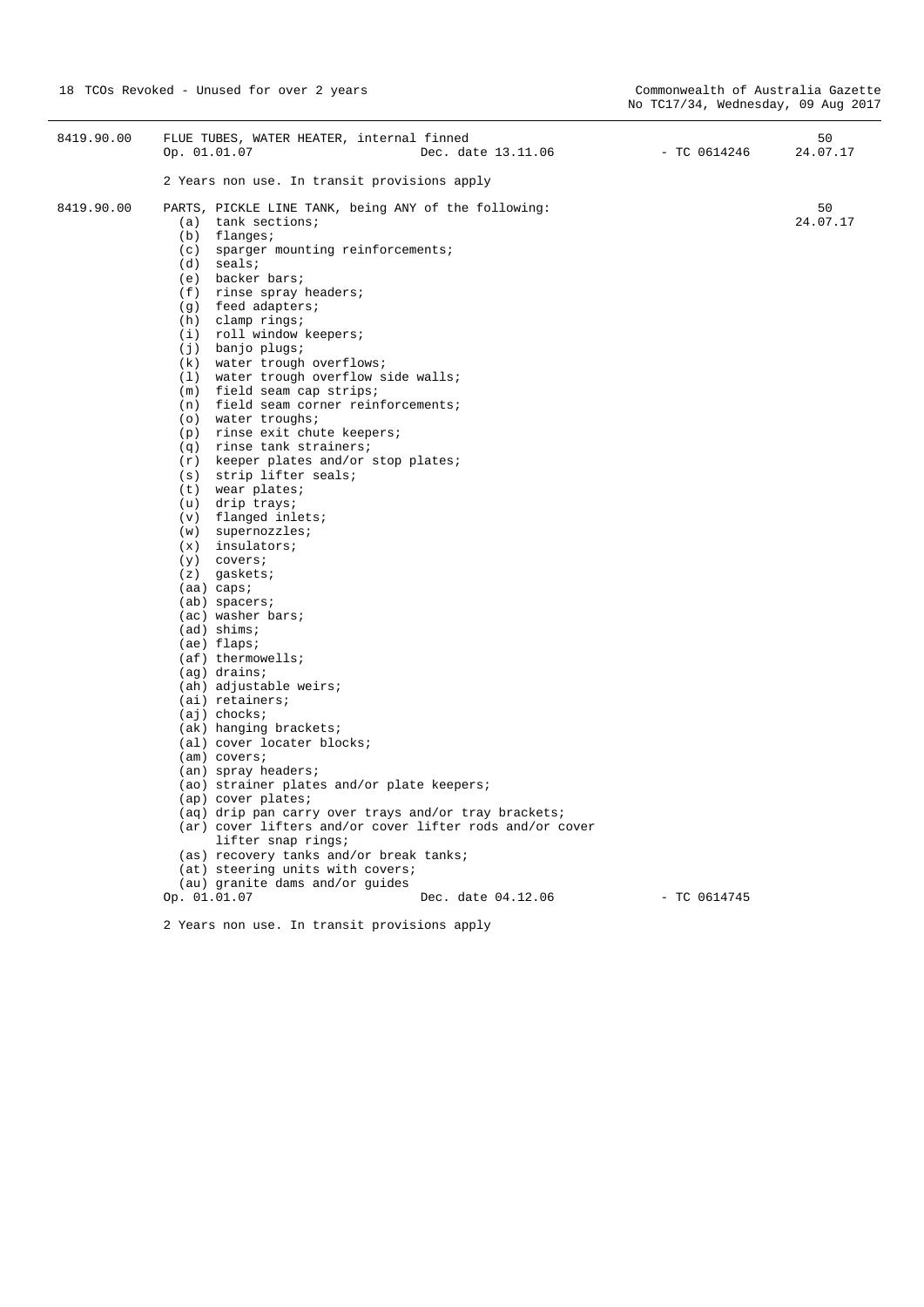| 8419.90.00 | FLUE TUBES, WATER HEATER, internal finned<br>Dec. date 13.11.06<br>Op. 01.01.07                                                                                                                                                                                                                                                                                                                                                                                                                                                                                                                                                                                                                                                         | - TC 0614246   | 50<br>24.07.17 |
|------------|-----------------------------------------------------------------------------------------------------------------------------------------------------------------------------------------------------------------------------------------------------------------------------------------------------------------------------------------------------------------------------------------------------------------------------------------------------------------------------------------------------------------------------------------------------------------------------------------------------------------------------------------------------------------------------------------------------------------------------------------|----------------|----------------|
|            | 2 Years non use. In transit provisions apply                                                                                                                                                                                                                                                                                                                                                                                                                                                                                                                                                                                                                                                                                            |                |                |
| 8419.90.00 | PARTS, PICKLE LINE TANK, being ANY of the following:<br>$(a)$ tank sections;<br>$(b)$ flanges;<br>(c) sparger mounting reinforcements;<br>$(d)$ seals;<br>(e) backer bars;<br>$(f)$ rinse spray headers;<br>(g) feed adapters;<br>$(h)$ clamp rings;<br>(i) roll window keepers;<br>(j) banjo plugs;<br>(k) water trough overflows;<br>(1) water trough overflow side walls;<br>(m) field seam cap strips;<br>(n) field seam corner reinforcements;<br>(o) water troughs;<br>$(p)$ rinse exit chute keepers;<br>$(q)$ rinse tank strainers;<br>(r) keeper plates and/or stop plates;<br>(s) strip lifter seals;<br>$(t)$ wear plates;<br>(u) drip trays;<br>$(v)$ flanged inlets;<br>$(w)$ supernozzles;                                |                | 50<br>24.07.17 |
|            | $(x)$ insulators;<br>$(y)$ covers;<br>$(z)$ gaskets;<br>$(aa) \text{ caps.}$<br>$(ab)$ spacers;<br>(ac) washer bars;<br>$(ad)$ shims;<br>$(ae)$ flaps;<br>$(af)$ thermowells;<br>$(aq)$ drains;<br>(ah) adjustable weirs;<br>$(ai)$ retainers;<br>$(ai)$ chocks;<br>(ak) hanging brackets;<br>(al) cover locater blocks;<br>$(am)$ covers;<br>(an) spray headers;<br>(ao) strainer plates and/or plate keepers;<br>(ap) cover plates;<br>(aq) drip pan carry over trays and/or tray brackets;<br>(ar) cover lifters and/or cover lifter rods and/or cover<br>lifter snap rings;<br>(as) recovery tanks and/or break tanks;<br>(at) steering units with covers;<br>(au) granite dams and/or guides<br>Op. 01.01.07<br>Dec. date 04.12.06 | $-$ TC 0614745 |                |
|            | 2 Years non use. In transit provisions apply                                                                                                                                                                                                                                                                                                                                                                                                                                                                                                                                                                                                                                                                                            |                |                |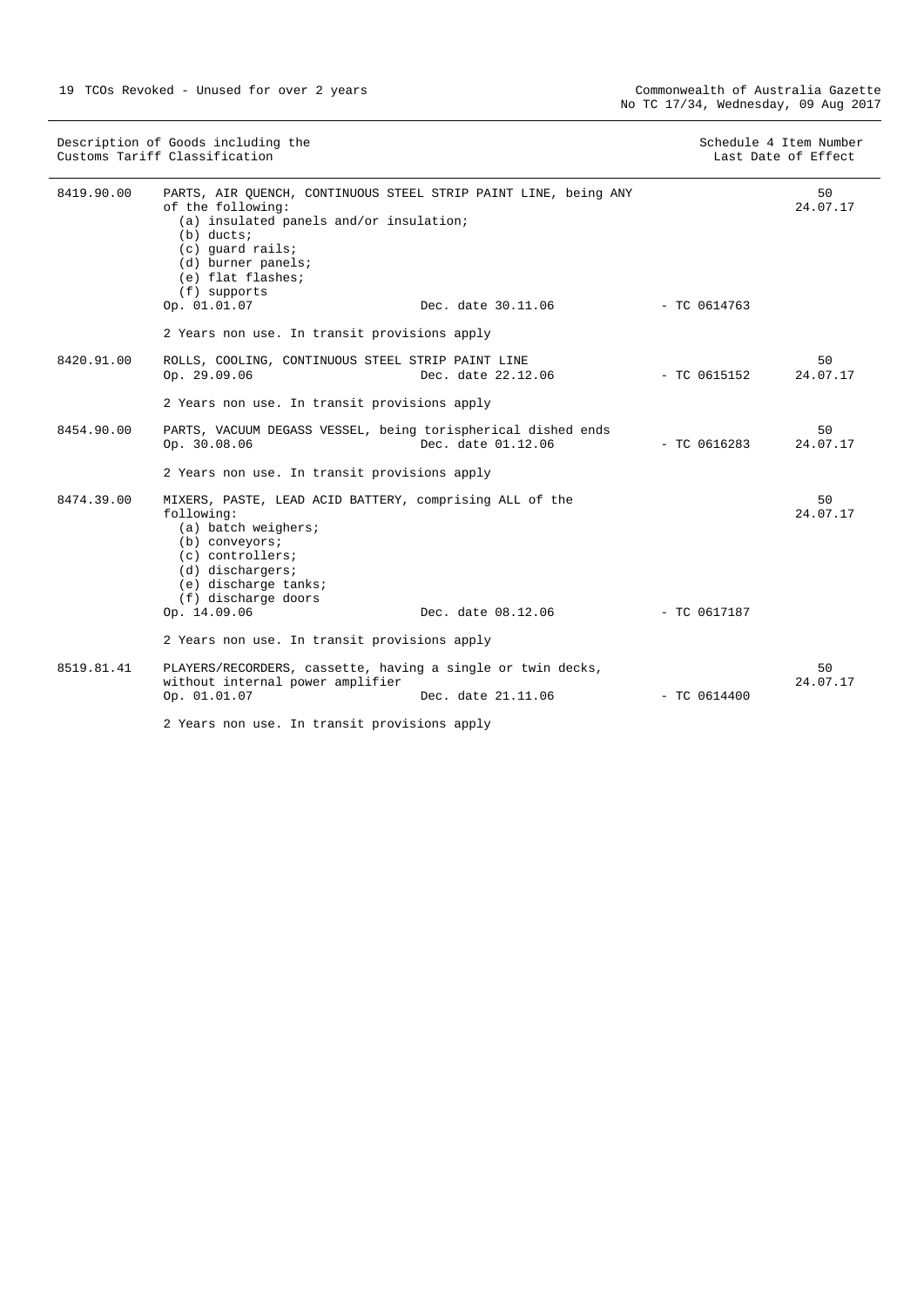| Description of Goods including the<br>Customs Tariff Classification |                                                                                                                                                                                                                                                |                    | Schedule 4 Item Number<br>Last Date of Effect |                |
|---------------------------------------------------------------------|------------------------------------------------------------------------------------------------------------------------------------------------------------------------------------------------------------------------------------------------|--------------------|-----------------------------------------------|----------------|
| 8419.90.00                                                          | PARTS, AIR QUENCH, CONTINUOUS STEEL STRIP PAINT LINE, being ANY<br>of the following:<br>(a) insulated panels and/or insulation;<br>$(b)$ ducts;<br>(c) quard rails;<br>(d) burner panels;<br>(e) flat flashes;<br>(f) supports<br>Op. 01.01.07 | Dec. date 30.11.06 | $-$ TC 0614763                                | 50<br>24.07.17 |
|                                                                     | 2 Years non use. In transit provisions apply                                                                                                                                                                                                   |                    |                                               |                |
| 8420.91.00                                                          | ROLLS, COOLING, CONTINUOUS STEEL STRIP PAINT LINE<br>Op. 29.09.06                                                                                                                                                                              | Dec. date 22.12.06 | $-$ TC 0615152                                | 50<br>24.07.17 |
|                                                                     | 2 Years non use. In transit provisions apply                                                                                                                                                                                                   |                    |                                               |                |
| 8454.90.00                                                          | PARTS, VACUUM DEGASS VESSEL, being torispherical dished ends<br>Op. 30.08.06                                                                                                                                                                   | Dec. date 01.12.06 | $-$ TC 0616283                                | 50<br>24.07.17 |
|                                                                     | 2 Years non use. In transit provisions apply                                                                                                                                                                                                   |                    |                                               |                |
| 8474.39.00                                                          | MIXERS, PASTE, LEAD ACID BATTERY, comprising ALL of the<br>following:<br>(a) batch weighers;<br>$(b)$ conveyors;<br>$(c)$ controllers;<br>$(d)$ dischargers;<br>(e) discharge tanks;<br>(f) discharge doors<br>Op. 14.09.06                    | Dec. date 08.12.06 | - TC 0617187                                  | 50<br>24.07.17 |
|                                                                     | 2 Years non use. In transit provisions apply                                                                                                                                                                                                   |                    |                                               |                |
| 8519.81.41                                                          | PLAYERS/RECORDERS, cassette, having a single or twin decks,<br>without internal power amplifier<br>Op. 01.01.07                                                                                                                                | Dec. date 21.11.06 | $-$ TC 0614400                                | 50<br>24.07.17 |
|                                                                     | 2 Years non use. In transit provisions apply                                                                                                                                                                                                   |                    |                                               |                |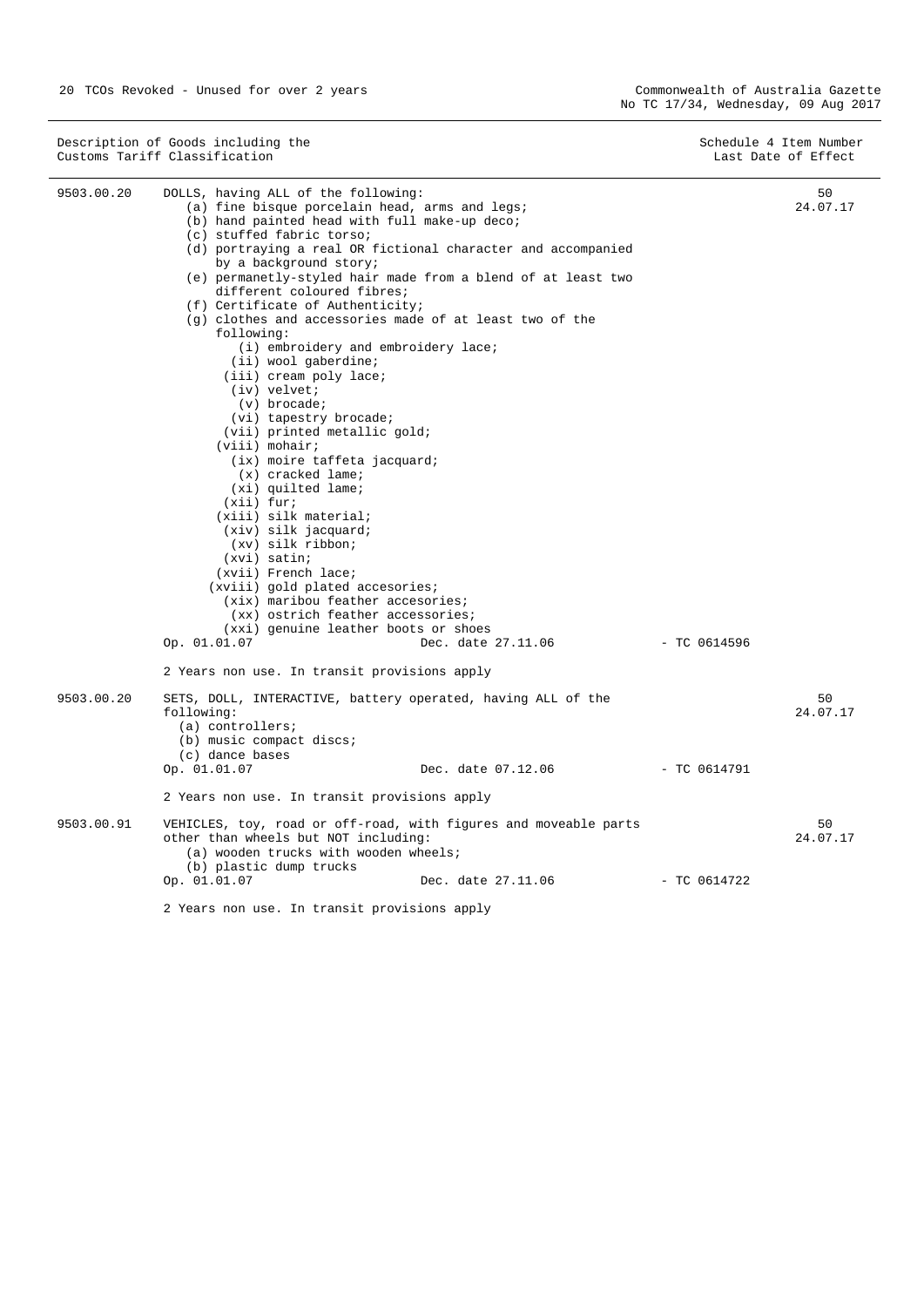Description of Goods including the Schedule 4 Item Number (Schedule 4 Item Number Customs Tariff Classification Last Date of Effect

| 9503.00.20 | DOLLS, having ALL of the following:<br>(a) fine bisque porcelain head, arms and legs;<br>(b) hand painted head with full make-up deco;<br>(c) stuffed fabric torso;<br>(d) portraying a real OR fictional character and accompanied<br>by a background story;<br>(e) permanetly-styled hair made from a blend of at least two<br>different coloured fibres;<br>(f) Certificate of Authenticity;<br>(q) clothes and accessories made of at least two of the<br>following:<br>(i) embroidery and embroidery lace;<br>(ii) wool gaberdine;<br>(iii) cream poly lace;<br>(iv) velvet;<br>$(v)$ brocade;<br>(vi) tapestry brocade;<br>(vii) printed metallic gold;<br>$(viii)$ mohair;<br>(ix) moire taffeta jacquard;<br>$(x)$ cracked lame;<br>(xi) quilted lame;<br>$(xii)$ fur;<br>$(xiii)$ silk material;<br>$(xiv)$ silk jacquard;<br>$(xv)$ silk ribbon;<br>$(xvi)$ satin;<br>(xvii) French lace;<br>(xviii) gold plated accesories;<br>(xix) maribou feather accesories;<br>(xx) ostrich feather accessories;<br>(xxi) genuine leather boots or shoes<br>Dec. date 27.11.06<br>Op. 01.01.07<br>2 Years non use. In transit provisions apply | - TC 0614596   | 50<br>24.07.17 |
|------------|------------------------------------------------------------------------------------------------------------------------------------------------------------------------------------------------------------------------------------------------------------------------------------------------------------------------------------------------------------------------------------------------------------------------------------------------------------------------------------------------------------------------------------------------------------------------------------------------------------------------------------------------------------------------------------------------------------------------------------------------------------------------------------------------------------------------------------------------------------------------------------------------------------------------------------------------------------------------------------------------------------------------------------------------------------------------------------------------------------------------------------------------|----------------|----------------|
| 9503.00.20 | SETS, DOLL, INTERACTIVE, battery operated, having ALL of the<br>following:<br>$(a)$ controllers;<br>(b) music compact discs;<br>(c) dance bases<br>Dec. date 07.12.06<br>Op. 01.01.07                                                                                                                                                                                                                                                                                                                                                                                                                                                                                                                                                                                                                                                                                                                                                                                                                                                                                                                                                          | $-$ TC 0614791 | 50<br>24.07.17 |
|            | 2 Years non use. In transit provisions apply                                                                                                                                                                                                                                                                                                                                                                                                                                                                                                                                                                                                                                                                                                                                                                                                                                                                                                                                                                                                                                                                                                   |                |                |
| 9503.00.91 | VEHICLES, toy, road or off-road, with figures and moveable parts<br>other than wheels but NOT including:<br>(a) wooden trucks with wooden wheels;<br>(b) plastic dump trucks                                                                                                                                                                                                                                                                                                                                                                                                                                                                                                                                                                                                                                                                                                                                                                                                                                                                                                                                                                   |                | 50<br>24.07.17 |
|            | Op. 01.01.07<br>Dec. date 27.11.06<br>2 Years non use. In transit provisions apply                                                                                                                                                                                                                                                                                                                                                                                                                                                                                                                                                                                                                                                                                                                                                                                                                                                                                                                                                                                                                                                             | $-$ TC 0614722 |                |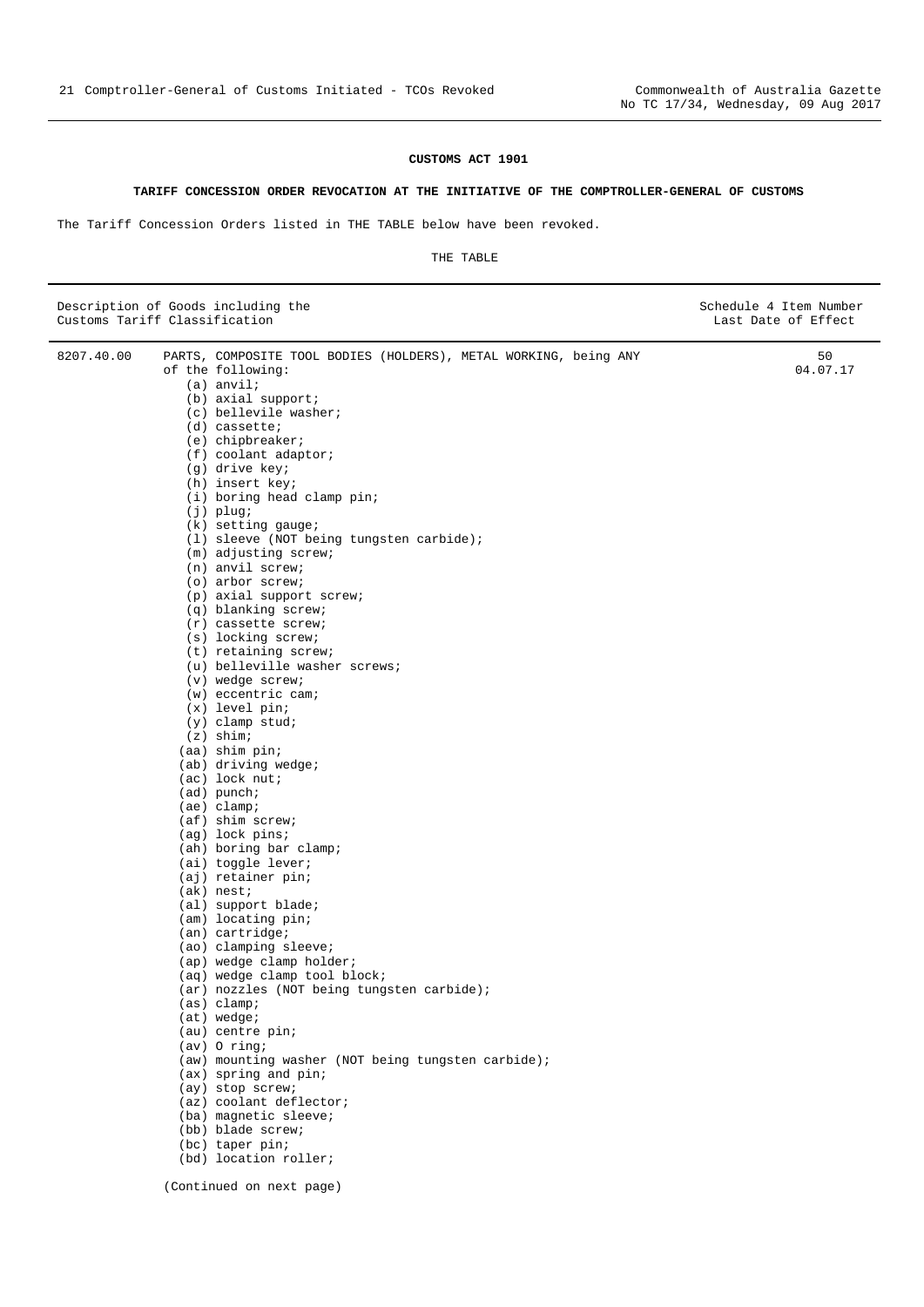### **CUSTOMS ACT 1901**

#### **TARIFF CONCESSION ORDER REVOCATION AT THE INITIATIVE OF THE COMPTROLLER-GENERAL OF CUSTOMS**

<span id="page-20-0"></span>The Tariff Concession Orders listed in THE TABLE below have been revoked.

| Customs Tariff Classification | Description of Goods including the                               | Schedule 4 Item Number<br>Last Date of Effect |
|-------------------------------|------------------------------------------------------------------|-----------------------------------------------|
| 8207.40.00                    | PARTS, COMPOSITE TOOL BODIES (HOLDERS), METAL WORKING, being ANY | 50                                            |
|                               | of the following:                                                | 04.07.17                                      |
|                               | $(a)$ anvil;                                                     |                                               |
|                               | $(b)$ axial support;<br>(c) bellevile washer;                    |                                               |
|                               | $(d)$ cassette;                                                  |                                               |
|                               | $(e)$ chipbreaker;                                               |                                               |
|                               | $(f)$ coolant adaptor;                                           |                                               |
|                               | (g) drive key;                                                   |                                               |
|                               | (h) insert key;                                                  |                                               |
|                               | (i) boring head clamp pin;                                       |                                               |
|                               | $(j)$ plug;<br>$(k)$ setting gauge;                              |                                               |
|                               | (1) sleeve (NOT being tungsten carbide);                         |                                               |
|                               | (m) adjusting screw;                                             |                                               |
|                               | $(n)$ anvil screw;                                               |                                               |
|                               | $(o)$ arbor screw;                                               |                                               |
|                               | (p) axial support screw;                                         |                                               |
|                               | (q) blanking screw;<br>$(r)$ cassette screw;                     |                                               |
|                               | (s) locking screw;                                               |                                               |
|                               | (t) retaining screw;                                             |                                               |
|                               | (u) belleville washer screws;                                    |                                               |
|                               | $(v)$ wedge screw;                                               |                                               |
|                               | $(w)$ eccentric cam;                                             |                                               |
|                               | $(x)$ level pin;                                                 |                                               |
|                               | $(y)$ clamp stud;<br>$(z)$ shim;                                 |                                               |
|                               | $(aa)$ shim pin;                                                 |                                               |
|                               | $(ab)$ driving wedge;                                            |                                               |
|                               | $(ac)$ lock nut;                                                 |                                               |
|                               | $(ad)$ punch;                                                    |                                               |
|                               | $(ae)$ clamp;                                                    |                                               |
|                               | $(af)$ shim screw;                                               |                                               |
|                               | (ag) lock pins;<br>(ah) boring bar clamp;                        |                                               |
|                               | (ai) toggle lever;                                               |                                               |
|                               | (aj) retainer pin;                                               |                                               |
|                               | $(ak)$ nest;                                                     |                                               |
|                               | (al) support blade;                                              |                                               |
|                               | (am) locating pin;                                               |                                               |
|                               | $(an)$ cartridge;<br>(ao) clamping sleeve;                       |                                               |
|                               | (ap) wedge clamp holder;                                         |                                               |
|                               | (aq) wedge clamp tool block;                                     |                                               |
|                               | (ar) nozzles (NOT being tungsten carbide);                       |                                               |
|                               | (as) clamp; i                                                    |                                               |
|                               | $(at)$ wedge;                                                    |                                               |
|                               | (au) centre pin;<br>$(av)$ O ring;                               |                                               |
|                               | (aw) mounting washer (NOT being tungsten carbide);               |                                               |
|                               | (ax) spring and pin;                                             |                                               |
|                               | (ay) stop screw;                                                 |                                               |
|                               | (az) coolant deflector;                                          |                                               |
|                               | (ba) magnetic sleeve;                                            |                                               |
|                               | (bb) blade screw;                                                |                                               |
|                               | (bc) taper pin;<br>(bd) location roller;                         |                                               |
|                               | (Continued on next page)                                         |                                               |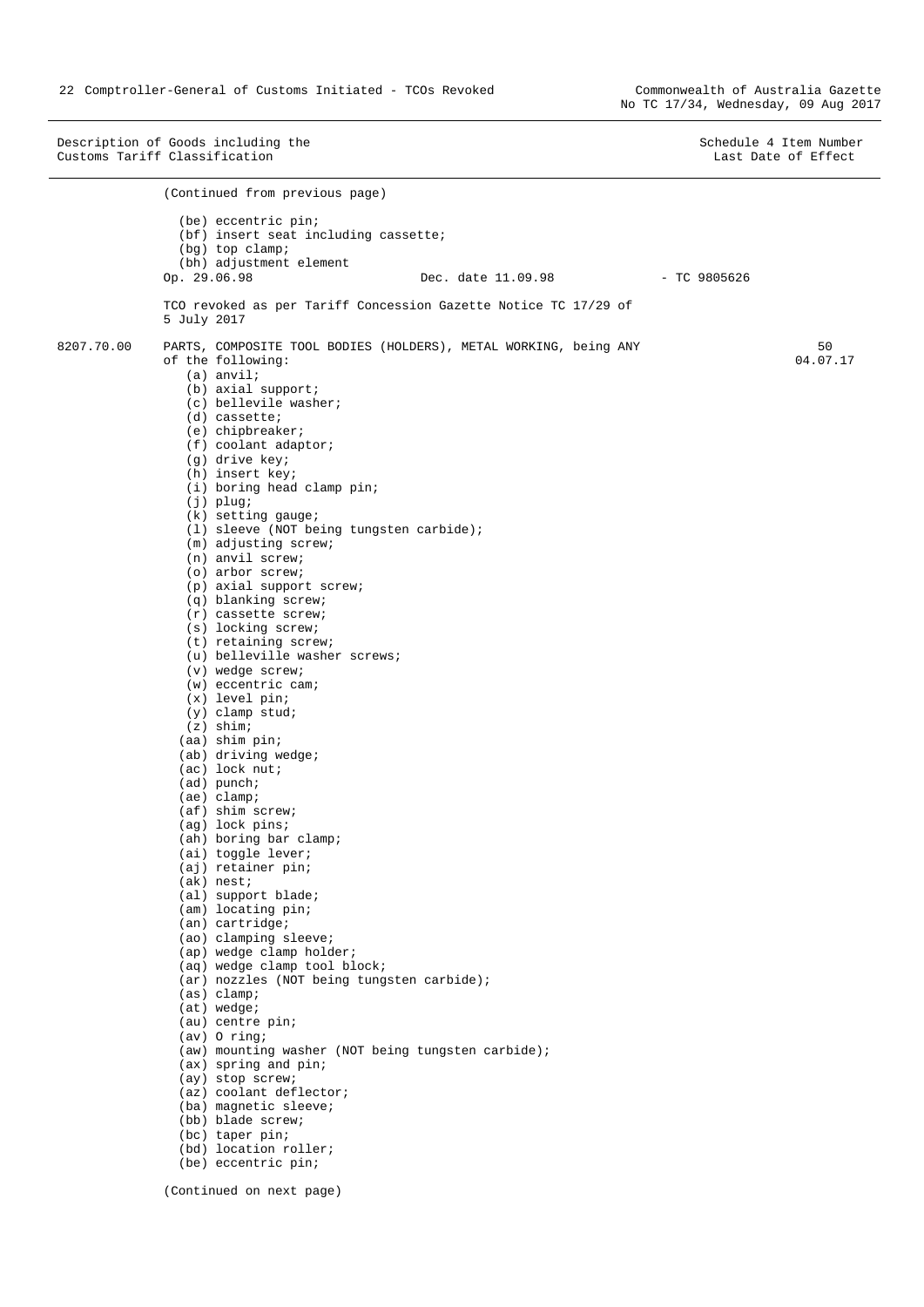Description of Goods including the Schedule 4 Item Number<br>
Customs Tariff Classification and Schedule 4 Item Number<br>
Customs Tariff Classification Customs Tariff Classification (Continued from previous page) (be) eccentric pin; (bf) insert seat including cassette; (bg) top clamp; (bh) adjustment element Op. 29.06.98 Dec. date 11.09.98 - TC 9805626 TCO revoked as per Tariff Concession Gazette Notice TC 17/29 of 5 July 2017 8207.70.00 PARTS, COMPOSITE TOOL BODIES (HOLDERS), METAL WORKING, being ANY of the following: (a) anvil; (b) axial support; (c) bellevile washer; (d) cassette; (e) chipbreaker; (f) coolant adaptor; (g) drive key; (h) insert key; (i) boring head clamp pin; (j) plug; (k) setting gauge; (l) sleeve (NOT being tungsten carbide); (m) adjusting screw; (n) anvil screw; (o) arbor screw; (p) axial support screw; (q) blanking screw; (r) cassette screw; (s) locking screw; (t) retaining screw; (u) belleville washer screws; (v) wedge screw; (w) eccentric cam; (x) level pin; (y) clamp stud; (z) shim; (aa) shim pin; (ab) driving wedge; (ac) lock nut; (ad) punch; (ae) clamp; (af) shim screw; (ag) lock pins; (ah) boring bar clamp; (ai) toggle lever; (aj) retainer pin; (ak) nest; (al) support blade; (am) locating pin; (an) cartridge; (ao) clamping sleeve; (ap) wedge clamp holder; (aq) wedge clamp tool block; (ar) nozzles (NOT being tungsten carbide); (as) clamp; (at) wedge; (au) centre pin; (av) O ring; (aw) mounting washer (NOT being tungsten carbide); (ax) spring and pin; (ay) stop screw; (az) coolant deflector; (ba) magnetic sleeve; (bb) blade screw; (bc) taper pin; (bd) location roller; (be) eccentric pin; 50 04.07.17

(Continued on next page)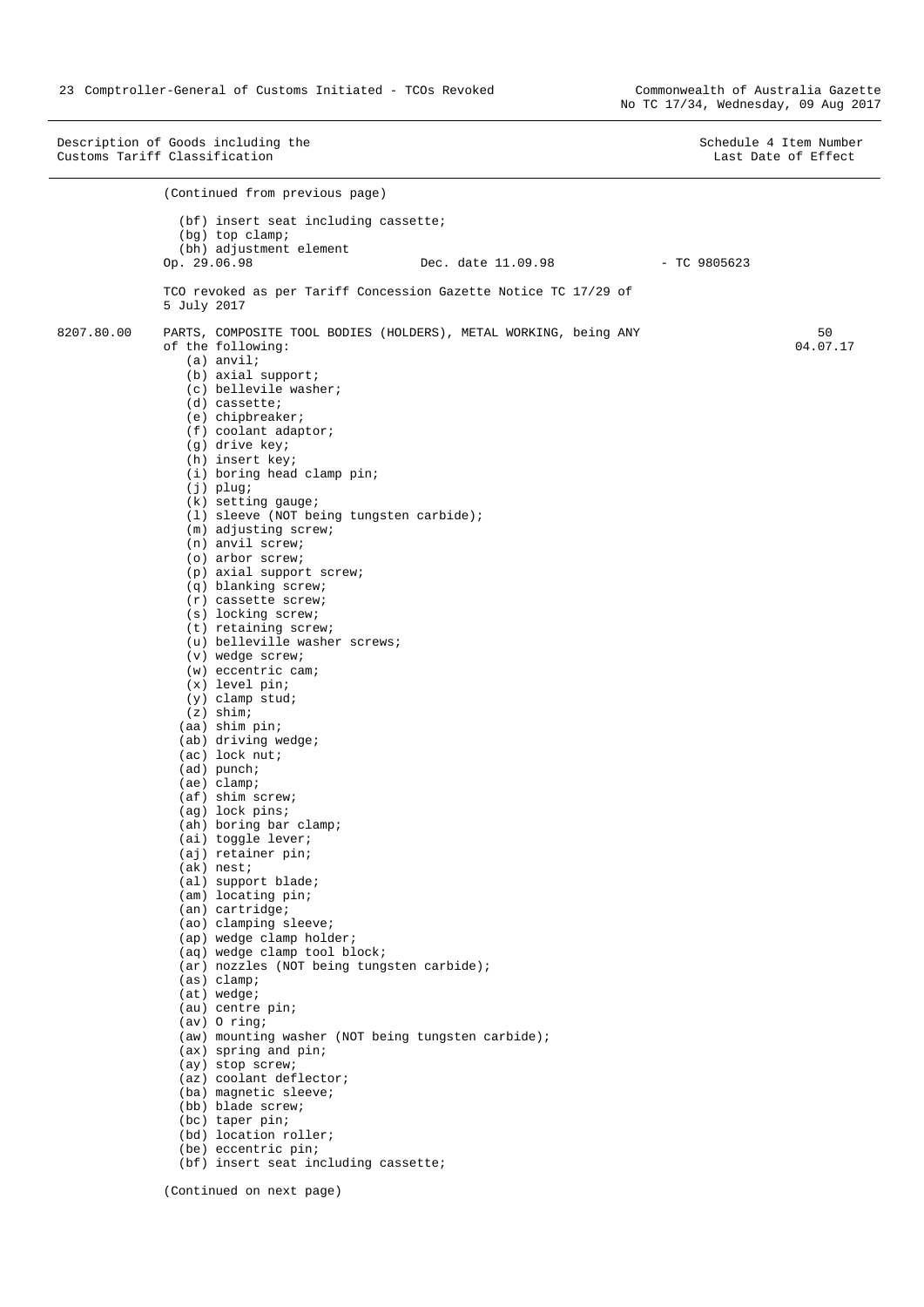Description of Goods including the Schedule 4 Item Number<br>
Customs Tariff Classification and Schedule 4 Item Number<br>
Customs Tariff Classification Customs Tariff Classification (Continued from previous page) (bf) insert seat including cassette; (bg) top clamp; (bh) adjustment element Op. 29.06.98 Dec. date 11.09.98 - TC 9805623 TCO revoked as per Tariff Concession Gazette Notice TC 17/29 of 5 July 2017 8207.80.00 PARTS, COMPOSITE TOOL BODIES (HOLDERS), METAL WORKING, being ANY of the following: (a) anvil; (b) axial support; (c) bellevile washer; (d) cassette; (e) chipbreaker; (f) coolant adaptor; (g) drive key; (h) insert key; (i) boring head clamp pin; (j) plug; (k) setting gauge; (l) sleeve (NOT being tungsten carbide); (m) adjusting screw; (n) anvil screw; (o) arbor screw; (p) axial support screw; (q) blanking screw; (r) cassette screw; (s) locking screw; (t) retaining screw; (u) belleville washer screws; (v) wedge screw; (w) eccentric cam; (x) level pin; (y) clamp stud; (z) shim; (aa) shim pin; (ab) driving wedge; (ac) lock nut; (ad) punch; (ae) clamp; (af) shim screw; (ag) lock pins; (ah) boring bar clamp; (ai) toggle lever; (aj) retainer pin; (ak) nest; (al) support blade; (am) locating pin; (an) cartridge; (ao) clamping sleeve; (ap) wedge clamp holder; (aq) wedge clamp tool block; (ar) nozzles (NOT being tungsten carbide); (as) clamp; (at) wedge; (au) centre pin; (av) O ring; (aw) mounting washer (NOT being tungsten carbide); (ax) spring and pin; (ay) stop screw; (az) coolant deflector; (ba) magnetic sleeve; (bb) blade screw; (bc) taper pin; (bd) location roller; (be) eccentric pin; (bf) insert seat including cassette; 50 04.07.17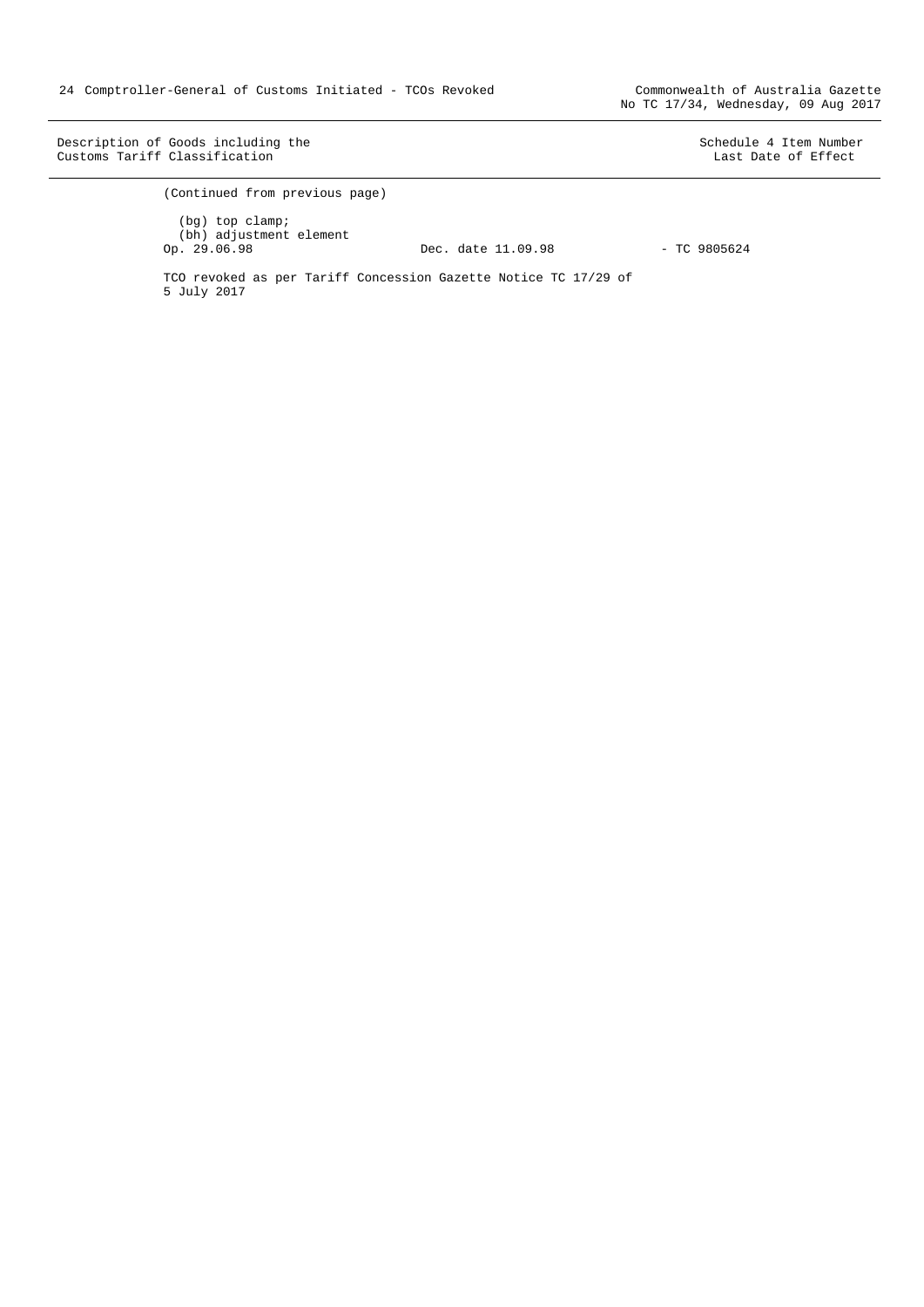Description of Goods including the Schedule 4 Item Number<br>
Customs Tariff Classification and Schedule 4 Item Number<br>
Customs Tariff Classification Customs Tariff Classification

(Continued from previous page) (bg) top clamp; (bh) adjustment element Op. 29.06.98 Dec. date 11.09.98 - TC 9805624 TCO revoked as per Tariff Concession Gazette Notice TC 17/29 of 5 July 2017